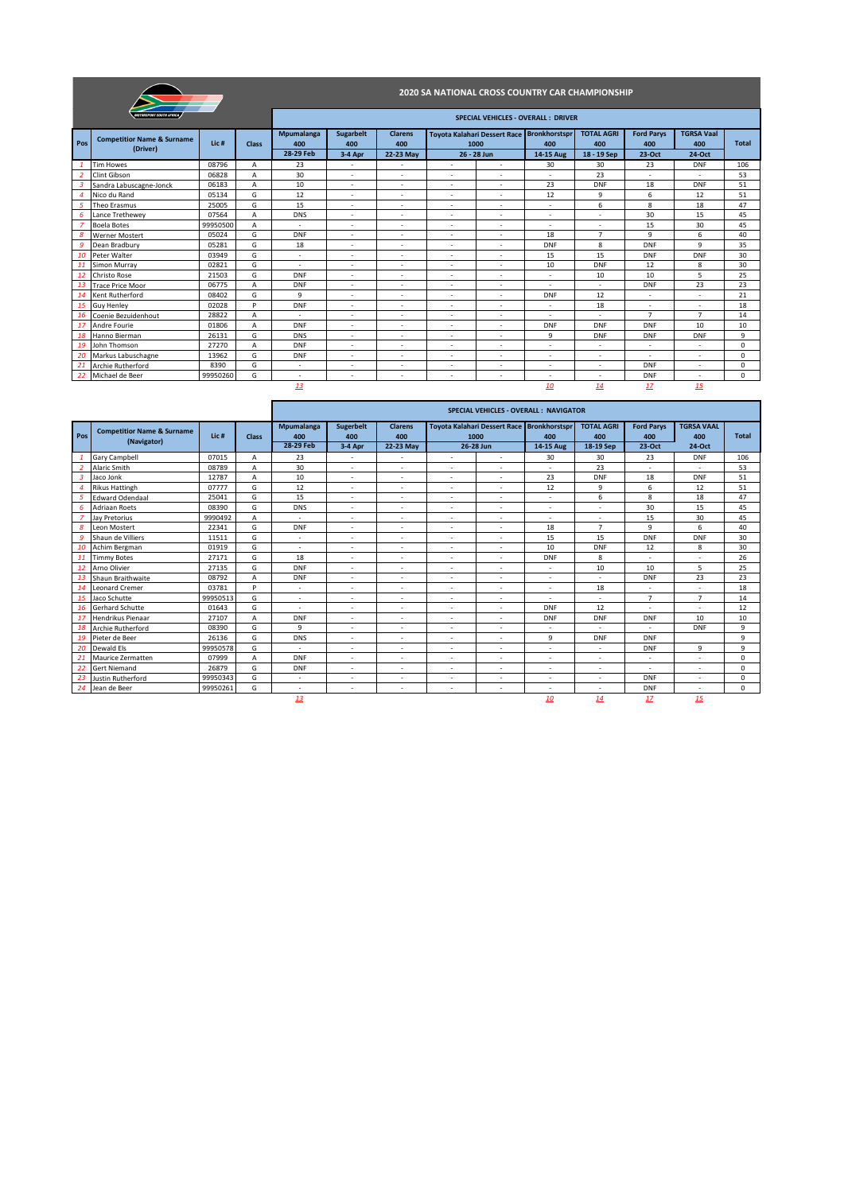|                |                                                   |                  |              |                                |                                    |                                    | 2020 SA NATIONAL CROSS COUNTRY CAR CHAMPIONSHIP |                          |                                                                |                                         |                                    |                                    |              |
|----------------|---------------------------------------------------|------------------|--------------|--------------------------------|------------------------------------|------------------------------------|-------------------------------------------------|--------------------------|----------------------------------------------------------------|-----------------------------------------|------------------------------------|------------------------------------|--------------|
|                | <b>MOTORSPORT SOUTH AFRICA</b>                    |                  |              |                                |                                    |                                    |                                                 |                          | <b>SPECIAL VEHICLES - OVERALL: DRIVER</b>                      |                                         |                                    |                                    |              |
| Pos            | <b>Competitior Name &amp; Surname</b><br>(Driver) | Lic <sub>#</sub> | <b>Class</b> | Mpumalanga<br>400<br>28-29 Feb | <b>Sugarbelt</b><br>400<br>3-4 Apr | <b>Clarens</b><br>400<br>22-23 May | 1000                                            | 26 - 28 Jun              | Toyota Kalahari Dessert Race Bronkhorstspr<br>400<br>14-15 Aug | <b>TOTAL AGRI</b><br>400<br>18 - 19 Sep | <b>Ford Parys</b><br>400<br>23-Oct | <b>TGRSA Vaal</b><br>400<br>24-Oct | <b>Total</b> |
|                | <b>Tim Howes</b>                                  | 08796            | A            | 23                             | $\overline{\phantom{a}}$           | ٠                                  | $\overline{\phantom{a}}$                        | ٠                        | 30                                                             | 30                                      | 23                                 | <b>DNF</b>                         | 106          |
| $\overline{2}$ | Clint Gibson                                      | 06828            | A            | 30                             | ٠                                  | ٠                                  |                                                 |                          |                                                                | 23                                      |                                    |                                    | 53           |
| $\overline{3}$ | Sandra Labuscagne-Jonck                           | 06183            | A            | 10                             | $\sim$                             | $\sim$                             | $\overline{\phantom{a}}$                        | ÷                        | 23                                                             | <b>DNF</b>                              | 18                                 | <b>DNF</b>                         | 51           |
| 4              | Nico du Rand                                      | 05134            | G            | 12                             | ٠                                  | $\overline{\phantom{a}}$           | $\overline{\phantom{a}}$                        | ٠                        | 12                                                             | 9                                       | 6                                  | 12                                 | 51           |
| 5              | Theo Erasmus                                      | 25005            | G            | 15                             | $\overline{\phantom{a}}$           | $\overline{\phantom{a}}$           | $\overline{\phantom{a}}$                        | $\overline{\phantom{a}}$ | ٠                                                              | 6                                       | 8                                  | 18                                 | 47           |
| 6              | Lance Trethewev                                   | 07564            | A            | <b>DNS</b>                     | $\sim$                             | $\overline{\phantom{a}}$           | $\overline{\phantom{a}}$                        | ٠                        | $\sim$                                                         | $\overline{\phantom{a}}$                | 30                                 | 15                                 | 45           |
| $\overline{z}$ | <b>Boela Botes</b>                                | 99950500         | A            | $\overline{\phantom{a}}$       | $\overline{\phantom{a}}$           | $\overline{\phantom{a}}$           | $\overline{\phantom{a}}$                        | $\overline{\phantom{a}}$ | $\overline{\phantom{a}}$                                       | ٠                                       | 15                                 | 30                                 | 45           |
| 8              | <b>Werner Mostert</b>                             | 05024            | G            | <b>DNF</b>                     | ٠                                  | $\overline{\phantom{a}}$           | $\overline{\phantom{a}}$                        | ÷,                       | 18                                                             | $\overline{7}$                          | 9                                  | 6                                  | 40           |
| 9              | Dean Bradbury                                     | 05281            | G            | 18                             | ٠                                  | $\overline{\phantom{a}}$           | $\overline{\phantom{a}}$                        | ÷,                       | <b>DNF</b>                                                     | 8                                       | <b>DNF</b>                         | 9                                  | 35           |
| 10             | Peter Walter                                      | 03949            | G            | $\overline{\phantom{a}}$       | ٠                                  | $\overline{\phantom{a}}$           | $\overline{\phantom{a}}$                        | ÷,                       | 15                                                             | 15                                      | <b>DNF</b>                         | <b>DNF</b>                         | 30           |
| 11             | Simon Murray                                      | 02821            | G            | $\sim$                         | $\overline{\phantom{a}}$           | ٠                                  | $\overline{\phantom{a}}$                        | $\overline{\phantom{a}}$ | 10                                                             | <b>DNF</b>                              | 12                                 | 8                                  | 30           |
| <b>12</b>      | Christo Rose                                      | 21503            | G            | <b>DNF</b>                     | $\sim$                             | $\overline{\phantom{a}}$           | $\overline{\phantom{a}}$                        | ٠                        | $\sim$                                                         | 10                                      | 10                                 | 5                                  | 25           |
| 13             | <b>Trace Price Moor</b>                           | 06775            | A            | <b>DNF</b>                     | ٠                                  | $\overline{\phantom{a}}$           | $\overline{\phantom{a}}$                        | ÷,                       | ٠                                                              | ÷,                                      | <b>DNF</b>                         | 23                                 | 23           |
| 14             | Kent Rutherford                                   | 08402            | G            | 9                              | $\sim$                             | $\overline{\phantom{a}}$           | $\overline{\phantom{a}}$                        | ٠                        | DNF                                                            | 12                                      | $\sim$                             | $\sim$                             | 21           |
| 15             | <b>Guy Henley</b>                                 | 02028            | P            | DNF                            | $\overline{\phantom{a}}$           | $\sim$                             | $\overline{\phantom{a}}$                        | ٠                        | $\sim$                                                         | 18                                      | $\overline{\phantom{a}}$           | $\overline{\phantom{a}}$           | 18           |
| 16             | Coenie Bezuidenhout                               | 28822            | A            | $\sim$                         | ٠                                  | $\overline{\phantom{a}}$           | $\overline{a}$                                  | ٠                        | ٠                                                              | $\overline{a}$                          | $\overline{7}$                     | $\overline{7}$                     | 14           |
| 17             | Andre Fourie                                      | 01806            | A            | <b>DNF</b>                     | $\overline{\phantom{a}}$           | ٠                                  | $\overline{\phantom{a}}$                        | ٠                        | <b>DNF</b>                                                     | <b>DNF</b>                              | <b>DNF</b>                         | 10                                 | 10           |
| 18             | Hanno Bierman                                     | 26131            | G            | <b>DNS</b>                     | $\overline{\phantom{a}}$           | $\overline{\phantom{a}}$           | $\overline{\phantom{a}}$                        | ٠                        | 9                                                              | <b>DNF</b>                              | <b>DNF</b>                         | <b>DNF</b>                         | 9            |
| 19             | John Thomson                                      | 27270            | A            | <b>DNF</b>                     | ٠                                  | $\overline{\phantom{a}}$           | $\overline{\phantom{a}}$                        | ٠                        | ٠                                                              | $\overline{\phantom{a}}$                | $\sim$                             | $\sim$                             | $\Omega$     |
| 20             | Markus Labuschagne                                | 13962            | G            | DNF                            | ٠                                  | ٠                                  | $\overline{\phantom{a}}$                        | ٠                        | $\overline{\phantom{a}}$                                       | ٠                                       | $\overline{\phantom{a}}$           | $\overline{\phantom{a}}$           | $\Omega$     |
| 21             | <b>Archie Rutherford</b>                          | 8390             | G            | $\overline{\phantom{a}}$       | ٠                                  | ٠                                  | ٠                                               | ٠                        | $\overline{\phantom{a}}$                                       | $\overline{\phantom{a}}$                | <b>DNF</b>                         | $\overline{\phantom{a}}$           | 0            |
| 22             | Michael de Beer                                   | 99950260         | G            | $\overline{\phantom{a}}$       | $\overline{\phantom{a}}$           | $\overline{\phantom{a}}$           | $\overline{\phantom{a}}$                        | $\overline{\phantom{a}}$ | $\sim$                                                         | $\overline{\phantom{a}}$                | <b>DNF</b>                         | $\sim$                             | $\mathbf 0$  |
|                |                                                   |                  |              | 13                             |                                    |                                    |                                                 |                          | 10                                                             | 14                                      | 17                                 | 15                                 |              |

|     |                                                      |                  |              |                                |                               |                                    |                          |                                                         | <b>SPECIAL VEHICLES - OVERALL: NAVIGATOR</b> |                                       |                                    |                                    |              |
|-----|------------------------------------------------------|------------------|--------------|--------------------------------|-------------------------------|------------------------------------|--------------------------|---------------------------------------------------------|----------------------------------------------|---------------------------------------|------------------------------------|------------------------------------|--------------|
| Pos | <b>Competitior Name &amp; Surname</b><br>(Navigator) | Lic <sub>#</sub> | <b>Class</b> | Mpumalanga<br>400<br>28-29 Feb | Sugerbelt<br>400<br>$3-4$ Apr | <b>Clarens</b><br>400<br>22-23 May | 1000                     | Toyota Kalahari Dessert Race Bronkhorstspr<br>26-28 Jun | 400<br>14-15 Aug                             | <b>TOTAL AGRI</b><br>400<br>18-19 Sep | <b>Ford Parys</b><br>400<br>23-Oct | <b>TGRSA VAAL</b><br>400<br>24-Oct | <b>Total</b> |
|     | Gary Campbell                                        | 07015            | A            | 23                             | $\sim$                        | $\overline{\phantom{a}}$           | ٠                        | $\sim$                                                  | 30                                           | 30                                    | 23                                 | <b>DNF</b>                         | 106          |
|     | Alaric Smith                                         | 08789            | A            | 30                             | $\overline{\phantom{a}}$      | $\overline{\phantom{a}}$           | $\overline{\phantom{a}}$ |                                                         |                                              | 23                                    |                                    |                                    | 53           |
|     | Jaco Jonk                                            | 12787            | A            | 10                             | $\sim$                        | $\sim$                             | $\sim$                   | $\sim$                                                  | 23                                           | <b>DNF</b>                            | 18                                 | <b>DNF</b>                         | 51           |
|     | <b>Rikus Hattingh</b>                                | 07777            | G            | 12                             | $\sim$                        | $\overline{\phantom{a}}$           | $\sim$                   | $\overline{\phantom{a}}$                                | 12                                           | 9                                     | 6                                  | 12                                 | 51           |
|     | <b>Edward Odendaal</b>                               | 25041            | G            | 15                             | $\sim$                        | $\overline{\phantom{a}}$           | $\overline{\phantom{a}}$ | $\overline{\phantom{a}}$                                | $\sim$                                       | 6                                     | 8                                  | 18                                 | 47           |
|     | <b>Adriaan Roets</b>                                 | 08390            | G            | <b>DNS</b>                     | $\sim$                        | $\overline{\phantom{a}}$           | $\sim$                   | $\overline{\phantom{a}}$                                | ۰                                            | ÷                                     | 30                                 | 15                                 | 45           |
|     | Jav Pretorius                                        | 9990492          | А            | $\overline{\phantom{a}}$       | $\overline{\phantom{a}}$      | $\overline{\phantom{a}}$           | $\overline{\phantom{a}}$ | $\overline{\phantom{a}}$                                | ٠                                            | ٠                                     | 15                                 | 30                                 | 45           |
|     | Leon Mostert                                         | 22341            | G            | <b>DNF</b>                     | $\sim$                        | $\overline{\phantom{a}}$           | $\sim$                   | $\overline{\phantom{a}}$                                | 18                                           | $\overline{7}$                        | 9                                  | 6                                  | 40           |
|     | Shaun de Villiers                                    | 11511            | G            | $\sim$                         | $\sim$                        | $\overline{\phantom{a}}$           | $\sim$                   | $\overline{\phantom{a}}$                                | 15                                           | 15                                    | <b>DNF</b>                         | <b>DNF</b>                         | 30           |
| 10  | Achim Bergman                                        | 01919            | G            | $\overline{\phantom{a}}$       | $\sim$                        | $\sim$                             | $\sim$                   | $\overline{a}$                                          | 10                                           | <b>DNF</b>                            | 12                                 | 8                                  | 30           |
| 11  | <b>Timmy Botes</b>                                   | 27171            | G            | 18                             | $\overline{\phantom{a}}$      | $\overline{\phantom{a}}$           | ٠                        | $\overline{\phantom{a}}$                                | <b>DNF</b>                                   | 8                                     |                                    | ٠                                  | 26           |
| 12  | Arno Olivier                                         | 27135            | G            | <b>DNF</b>                     | ÷                             |                                    | $\overline{\phantom{a}}$ |                                                         | ۰                                            | 10                                    | 10                                 | 5                                  | 25           |
| 13  | Shaun Braithwaite                                    | 08792            | A            | <b>DNF</b>                     | ٠                             | $\overline{\phantom{a}}$           | ٠                        |                                                         | $\sim$                                       | ÷,                                    | <b>DNF</b>                         | 23                                 | 23           |
| 14  | <b>Leonard Cremer</b>                                | 03781            | Þ            | ٠                              | $\overline{\phantom{a}}$      | $\overline{\phantom{a}}$           | $\overline{\phantom{a}}$ |                                                         | ٠                                            | 18                                    |                                    | ٠                                  | 18           |
| 15  | Jaco Schutte                                         | 99950513         | G            | $\overline{\phantom{a}}$       | $\sim$                        | $\overline{\phantom{a}}$           | $\sim$                   | $\sim$                                                  | $\sim$                                       | $\overline{a}$                        | $\overline{7}$                     | 7                                  | 14           |
| 16  | Gerhard Schutte                                      | 01643            | G            | $\overline{a}$                 | $\overline{\phantom{a}}$      |                                    | ٠                        |                                                         | <b>DNF</b>                                   | 12                                    |                                    | ٠                                  | 12           |
| 17  | Hendrikus Pienaar                                    | 27107            | A            | <b>DNF</b>                     | $\sim$                        | $\overline{\phantom{a}}$           | $\overline{a}$           | $\overline{\phantom{a}}$                                | <b>DNF</b>                                   | <b>DNF</b>                            | <b>DNF</b>                         | 10                                 | 10           |
| 18  | <b>Archie Rutherford</b>                             | 08390            | G            | 9                              | $\overline{\phantom{a}}$      | $\overline{\phantom{a}}$           | ٠                        |                                                         | ٠                                            | ÷,                                    | $\overline{\phantom{a}}$           | <b>DNF</b>                         | 9            |
| 19  | Pieter de Beer                                       | 26136            | G            | <b>DNS</b>                     | $\sim$                        | $\overline{\phantom{a}}$           | $\sim$                   | $\overline{a}$                                          | 9                                            | <b>DNF</b>                            | <b>DNF</b>                         |                                    | 9            |
| 20  | Dewald Els                                           | 99950578         | G            | ٠                              | $\overline{\phantom{a}}$      | $\sim$                             | $\overline{\phantom{a}}$ | $\overline{\phantom{a}}$                                | ٠                                            | $\overline{\phantom{a}}$              | <b>DNF</b>                         | 9                                  | 9            |
| 21  | Maurice Zermatten                                    | 07999            | A            | <b>DNF</b>                     | $\sim$                        | $\overline{\phantom{a}}$           | $\overline{\phantom{a}}$ | $\overline{\phantom{a}}$                                | ٠                                            | $\overline{\phantom{a}}$              | $\sim$                             | ٠                                  | $\Omega$     |
| 22  | <b>Gert Niemand</b>                                  | 26879            | G            | <b>DNF</b>                     | $\overline{\phantom{a}}$      | $\overline{\phantom{a}}$           | $\overline{\phantom{a}}$ | $\sim$                                                  | ٠                                            | $\overline{\phantom{a}}$              | $\sim$                             | ٠                                  | $\mathbf 0$  |
| 23  | Justin Rutherford                                    | 99950343         | G            | $\overline{\phantom{a}}$       | $\overline{\phantom{a}}$      | $\overline{\phantom{a}}$           | $\overline{\phantom{a}}$ |                                                         | ٠                                            | $\overline{\phantom{a}}$              | <b>DNF</b>                         | ۰                                  | $\mathbf 0$  |
| 24  | Jean de Beer                                         | 99950261         | G            | $\overline{\phantom{a}}$       | $\overline{\phantom{a}}$      | $\overline{\phantom{a}}$           | $\overline{\phantom{a}}$ | $\overline{\phantom{a}}$                                | $\overline{\phantom{a}}$                     | $\overline{\phantom{a}}$              | <b>DNF</b>                         | ٠                                  | $\mathbf 0$  |
|     |                                                      |                  |              | 13                             |                               |                                    |                          |                                                         | 10                                           | 14                                    | 17                                 | 15                                 |              |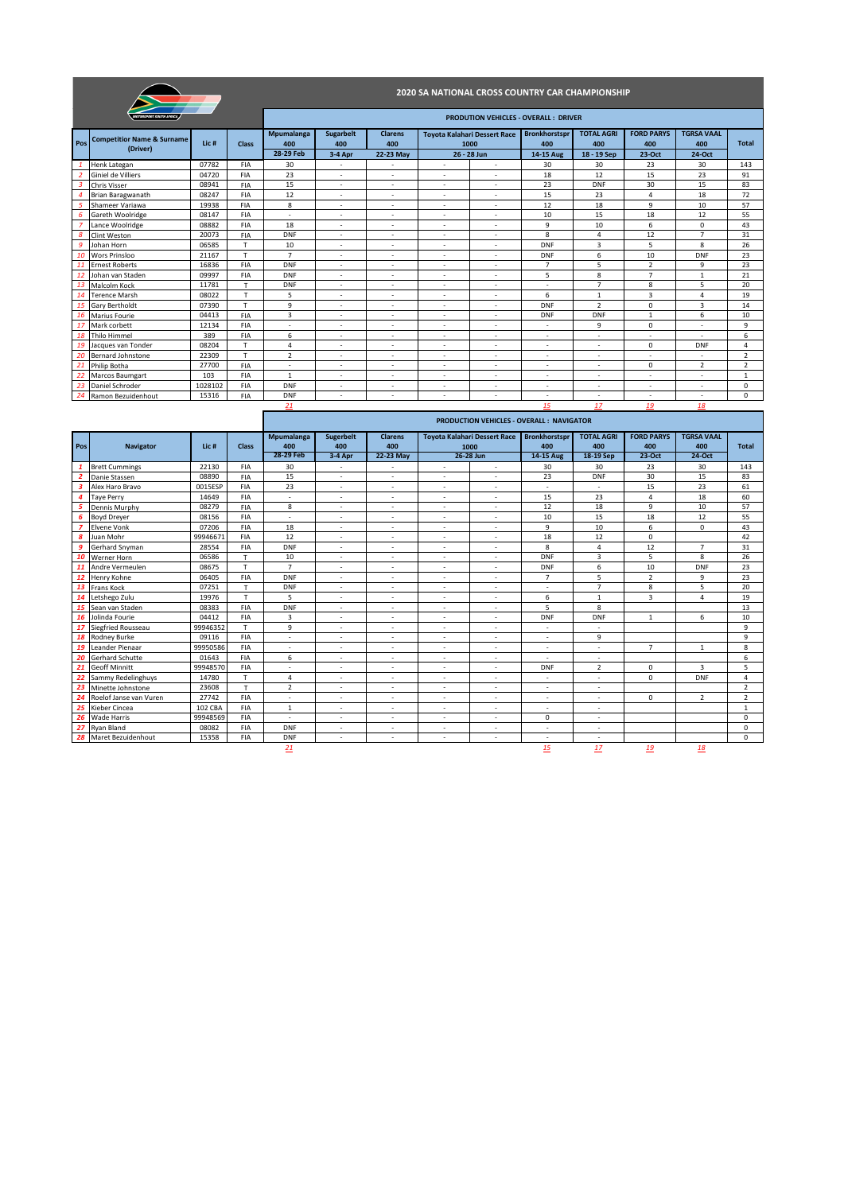|                |                                                   |                  |              |                                |                                    |                                    |                          |                                                    | <b>2020 SA NATIONAL CROSS COUNTRY CAR CHAMPIONSHIP</b> |                                         |                                    |                                    |                |
|----------------|---------------------------------------------------|------------------|--------------|--------------------------------|------------------------------------|------------------------------------|--------------------------|----------------------------------------------------|--------------------------------------------------------|-----------------------------------------|------------------------------------|------------------------------------|----------------|
|                | <b>MOTORSPORT SOUTH AFRICA</b>                    |                  |              |                                |                                    |                                    |                          |                                                    | <b>PRODUTION VEHICLES - OVERALL: DRIVER</b>            |                                         |                                    |                                    |                |
| Pos            | <b>Competitior Name &amp; Surname</b><br>(Driver) | Lic <sub>#</sub> | Class        | Mpumalanga<br>400<br>28-29 Feb | <b>Sugarbelt</b><br>400<br>3-4 Apr | <b>Clarens</b><br>400<br>22-23 May | 1000                     | <b>Toyota Kalahari Dessert Race</b><br>26 - 28 Jun | <b>Bronkhorstspr</b><br>400<br>14-15 Aug               | <b>TOTAL AGRI</b><br>400<br>18 - 19 Sep | <b>FORD PARYS</b><br>400<br>23-Oct | <b>TGRSA VAAL</b><br>400<br>24-Oct | <b>Total</b>   |
|                | Henk Lategan                                      | 07782            | <b>FIA</b>   | 30                             | $\overline{\phantom{a}}$           | ٠                                  | $\overline{\phantom{a}}$ | ÷,                                                 | 30                                                     | 30                                      | 23                                 | 30                                 | 143            |
|                | Giniel de Villiers                                | 04720            | <b>FIA</b>   | 23                             | $\overline{\phantom{a}}$           |                                    | $\overline{\phantom{a}}$ |                                                    | 18                                                     | 12                                      | 15                                 | 23                                 | 91             |
| $\overline{3}$ | <b>Chris Visser</b>                               | 08941            | FIA          | 15                             | $\overline{\phantom{a}}$           | ۰                                  | $\overline{\phantom{a}}$ | $\overline{\phantom{a}}$                           | 23                                                     | <b>DNF</b>                              | 30                                 | 15                                 | 83             |
|                | Brian Baragwanath                                 | 08247            | FIA          | 12                             | $\overline{\phantom{a}}$           | ٠                                  | $\overline{\phantom{a}}$ | $\overline{\phantom{a}}$                           | 15                                                     | 23                                      | 4                                  | 18                                 | 72             |
|                | Shameer Variawa                                   | 19938            | <b>FIA</b>   | 8                              | ٠                                  |                                    | $\overline{\phantom{a}}$ | ٠                                                  | 12                                                     | 18                                      | 9                                  | 10                                 | 57             |
|                | Gareth Woolridge                                  | 08147            | FIA          | $\overline{\phantom{a}}$       | $\overline{\phantom{a}}$           | $\overline{\phantom{a}}$           | $\overline{\phantom{a}}$ | $\overline{\phantom{a}}$                           | 10                                                     | 15                                      | 18                                 | 12                                 | 55             |
|                | Lance Woolridge                                   | 08882            | FIA          | 18                             | $\overline{\phantom{a}}$           | $\overline{\phantom{a}}$           | $\overline{\phantom{a}}$ | $\overline{\phantom{a}}$                           | 9                                                      | 10                                      | 6                                  | 0                                  | 43             |
|                | Clint Weston                                      | 20073            | FIA          | <b>DNF</b>                     | $\overline{\phantom{a}}$           | ٠                                  | $\overline{\phantom{a}}$ | $\overline{\phantom{a}}$                           | 8                                                      | $\overline{4}$                          | 12                                 | $\overline{7}$                     | 31             |
| <b>g</b>       | Johan Horn                                        | 06585            | $\mathbf{T}$ | 10                             | $\overline{\phantom{a}}$           |                                    |                          |                                                    | <b>DNF</b>                                             | 3                                       | 5                                  | 8                                  | 26             |
| -10            | <b>Wors Prinsloo</b>                              | 21167            | $\mathbf{T}$ | $\overline{7}$                 | ÷                                  | ٠                                  | $\overline{\phantom{a}}$ | ٠                                                  | <b>DNF</b>                                             | 6                                       | 10                                 | <b>DNF</b>                         | 23             |
| 11             | <b>Ernest Roberts</b>                             | 16836            | FIA          | <b>DNF</b>                     | $\overline{\phantom{a}}$           | ٠                                  | $\overline{\phantom{a}}$ | ٠                                                  | $\overline{7}$                                         | 5                                       | 2                                  | 9                                  | 23             |
| 12             | Johan van Staden                                  | 09997            | FIA          | <b>DNF</b>                     | $\overline{\phantom{a}}$           | ٠                                  | $\overline{\phantom{a}}$ | ٠                                                  | 5                                                      | 8                                       | $\overline{7}$                     | $\mathbf{1}$                       | 21             |
| 13             | Malcolm Kock                                      | 11781            | $\mathsf{T}$ | <b>DNF</b>                     | ٠                                  | $\overline{\phantom{a}}$           | $\overline{\phantom{a}}$ | ٠                                                  |                                                        | $\overline{7}$                          | 8                                  | 5                                  | 20             |
| 14             | <b>Terence Marsh</b>                              | 08022            | T            | 5                              | $\overline{\phantom{a}}$           | ÷                                  | $\overline{\phantom{a}}$ | ÷                                                  | 6                                                      | $\mathbf{1}$                            | $\overline{3}$                     | 4                                  | 19             |
| 15             | Gary Bertholdt                                    | 07390            | $\mathbf{T}$ | 9                              | $\overline{\phantom{a}}$           | ٠                                  | $\overline{\phantom{a}}$ | ٠                                                  | <b>DNF</b>                                             | $\overline{2}$                          | $\Omega$                           | 3                                  | 14             |
| 16             | <b>Marius Fourie</b>                              | 04413            | <b>FIA</b>   | $\overline{\mathbf{3}}$        | ä,                                 |                                    |                          |                                                    | <b>DNF</b>                                             | <b>DNF</b>                              | $\mathbf{1}$                       | 6                                  | 10             |
| -17            | Mark corbett                                      | 12134            | FIA          | $\overline{\phantom{a}}$       | $\overline{\phantom{a}}$           | ÷                                  | $\sim$                   | ÷                                                  | $\overline{\phantom{a}}$                               | 9                                       | 0                                  | $\overline{\phantom{a}}$           | 9              |
| 18             | <b>Thilo Himmel</b>                               | 389              | FIA          | 6                              | $\overline{\phantom{a}}$           | ٠                                  | $\overline{\phantom{a}}$ | ٠                                                  |                                                        | $\overline{\phantom{a}}$                |                                    |                                    | 6              |
| 19             | Jacques van Tonder                                | 08204            | $\mathbf{T}$ | 4                              | ÷                                  | ٠                                  | $\overline{\phantom{a}}$ | ٠                                                  |                                                        | $\overline{\phantom{a}}$                | $\Omega$                           | <b>DNF</b>                         | 4              |
| 20             | <b>Bernard Johnstone</b>                          | 22309            | T            | $\overline{2}$                 | $\sim$                             | $\sim$                             | $\sim$                   | $\overline{\phantom{a}}$                           | $\overline{\phantom{a}}$                               | $\overline{\phantom{a}}$                | $\overline{\phantom{a}}$           | $\overline{\phantom{a}}$           | $\overline{2}$ |
| 21             | Philip Botha                                      | 27700            | <b>FIA</b>   | $\overline{\phantom{a}}$       | ÷                                  |                                    | $\overline{a}$           | ÷                                                  |                                                        | ٠                                       | $\Omega$                           | $\overline{2}$                     | $\overline{2}$ |
| 22             | <b>Marcos Baumgart</b>                            | 103              | FIA          | $\mathbf{1}$                   | $\overline{\phantom{a}}$           | $\overline{\phantom{a}}$           | $\overline{\phantom{a}}$ | ٠                                                  |                                                        | $\overline{a}$                          | $\overline{\phantom{a}}$           | ÷                                  | $\mathbf{1}$   |
|                | Daniel Schroder                                   | 1028102          | FIA          | <b>DNF</b>                     | $\overline{\phantom{a}}$           | $\overline{\phantom{a}}$           | $\overline{\phantom{a}}$ | $\overline{\phantom{a}}$                           | $\overline{\phantom{a}}$                               | $\overline{\phantom{a}}$                | $\overline{\phantom{a}}$           | $\overline{\phantom{a}}$           | $\mathbf 0$    |
| 24             | Ramon Bezuidenhout                                | 15316            | <b>FIA</b>   | <b>DNF</b>                     | $\overline{\phantom{a}}$           | ÷,                                 | $\overline{\phantom{a}}$ | $\overline{\phantom{a}}$                           | $\overline{\phantom{a}}$                               | $\overline{\phantom{a}}$                |                                    | ÷,                                 | $\mathbf 0$    |
|                |                                                   |                  |              | 21                             |                                    |                                    |                          |                                                    | 15                                                     | 17                                      | 19                                 | 18                                 |                |

|                |                        |                  |              |                          |                          |                          |                                     |                          | <b>PRODUCTION VEHICLES - OVERALL: NAVIGATOR</b> |                          |                   |                   |                |
|----------------|------------------------|------------------|--------------|--------------------------|--------------------------|--------------------------|-------------------------------------|--------------------------|-------------------------------------------------|--------------------------|-------------------|-------------------|----------------|
|                |                        |                  |              | Mpumalanga               | Sugerbelt                | <b>Clarens</b>           | <b>Toyota Kalahari Dessert Race</b> |                          | <b>Bronkhorstspr</b>                            | <b>TOTAL AGRI</b>        | <b>FORD PARYS</b> | <b>TGRSA VAAL</b> |                |
| Pos            | <b>Navigator</b>       | Lic <sub>#</sub> | <b>Class</b> | 400                      | 400                      | 400                      | 1000                                |                          | 400                                             | 400                      | 400               | 400               | <b>Total</b>   |
|                |                        |                  |              | 28-29 Feb                | 3-4 Apr                  | 22-23 May                |                                     | 26-28 Jun                | 14-15 Aug                                       | 18-19 Sep                | 23-Oct            | 24-Oct            |                |
| $\mathbf{1}$   | <b>Brett Cummings</b>  | 22130            | <b>FIA</b>   | 30                       | ٠                        | $\overline{\phantom{a}}$ | $\sim$                              | $\overline{\phantom{a}}$ | 30                                              | 30                       | 23                | 30                | 143            |
| $\overline{2}$ | Danie Stassen          | 08890            | FIA          | 15                       | ٠                        |                          | ٠                                   |                          | 23                                              | <b>DNF</b>               | 30                | 15                | 83             |
| -3             | Alex Haro Bravo        | 0015ESP          | FIA          | 23                       | $\overline{\phantom{a}}$ | $\overline{\phantom{a}}$ | ٠                                   | $\overline{\phantom{a}}$ | $\overline{\phantom{a}}$                        | $\overline{\phantom{a}}$ | 15                | 23                | 61             |
| $\overline{a}$ | <b>Taye Perry</b>      | 14649            | FIA          | $\overline{\phantom{a}}$ | ٠                        | $\overline{\phantom{a}}$ | $\overline{\phantom{a}}$            | $\overline{\phantom{a}}$ | 15                                              | 23                       | 4                 | 18                | 60             |
| 5              | Dennis Murphy          | 08279            | FIA          | 8                        | ٠                        |                          | $\overline{\phantom{a}}$            |                          | 12                                              | 18                       | 9                 | 10                | 57             |
| 6              | Boyd Dreyer            | 08156            | FIA          | $\overline{\phantom{a}}$ | ٠                        | $\overline{\phantom{a}}$ | $\overline{\phantom{a}}$            | $\overline{\phantom{a}}$ | 10                                              | 15                       | 18                | 12                | 55             |
| 7              | <b>Elvene Vonk</b>     | 07206            | FIA          | 18                       | ٠                        | $\overline{\phantom{a}}$ | $\overline{\phantom{a}}$            | $\overline{\phantom{a}}$ | 9                                               | 10                       | 6                 | 0                 | 43             |
| 8              | Juan Mohr              | 99946671         | FIA          | 12                       | ٠                        | $\overline{\phantom{a}}$ | $\overline{\phantom{a}}$            | $\overline{\phantom{a}}$ | 18                                              | 12                       | $\mathbf 0$       |                   | 42             |
| <b>q</b>       | Gerhard Snyman         | 28554            | FIA          | <b>DNF</b>               | $\overline{\phantom{a}}$ | $\sim$                   | $\sim$                              | $\overline{\phantom{a}}$ | 8                                               | 4                        | 12                | $\overline{7}$    | 31             |
| 10             | Werner Horn            | 06586            | $\mathsf{T}$ | 10                       | ÷                        | $\overline{a}$           | $\sim$                              | $\sim$                   | <b>DNF</b>                                      | $\overline{3}$           | 5                 | 8                 | 26             |
| 11             | Andre Vermeulen        | 08675            | T            | $\overline{7}$           | ٠                        | $\sim$                   | $\overline{\phantom{a}}$            | $\overline{\phantom{a}}$ | <b>DNF</b>                                      | 6                        | 10                | <b>DNF</b>        | 23             |
| 12             | Henry Kohne            | 06405            | FIA          | <b>DNF</b>               |                          |                          | $\overline{\phantom{a}}$            |                          | $\overline{7}$                                  | 5                        | $\overline{2}$    | 9                 | 23             |
| 13             | Frans Kock             | 07251            | $\mathsf{T}$ | <b>DNF</b>               | ٠                        | $\sim$                   | $\sim$                              | $\sim$                   | $\overline{\phantom{a}}$                        | $\overline{7}$           | 8                 | 5                 | 20             |
| 14             | Letshego Zulu          | 19976            | T            | 5                        | ÷                        | $\overline{\phantom{a}}$ | $\overline{\phantom{a}}$            | $\sim$                   | 6                                               | $\mathbf{1}$             | 3                 | 4                 | 19             |
| 15             | Sean van Staden        | 08383            | FIA          | DNF                      | ٠                        | $\overline{\phantom{a}}$ | $\overline{\phantom{a}}$            | $\overline{\phantom{a}}$ | 5                                               | 8                        |                   |                   | 13             |
| 16             | Jolinda Fourie         | 04412            | FIA          | 3                        |                          |                          | $\sim$                              |                          | <b>DNF</b>                                      | <b>DNF</b>               | $\mathbf{1}$      | 6                 | 10             |
| 17             | Siegfried Rousseau     | 99946352         | T            | 9                        | ٠                        | $\overline{\phantom{a}}$ | $\overline{\phantom{a}}$            | $\overline{\phantom{a}}$ | $\overline{\phantom{a}}$                        | $\overline{\phantom{a}}$ |                   |                   | 9              |
| 18             | Rodney Burke           | 09116            | FIA          | $\overline{\phantom{a}}$ | ٠                        | $\overline{\phantom{a}}$ | $\overline{\phantom{a}}$            | $\sim$                   | $\overline{\phantom{a}}$                        | 9                        |                   |                   | 9              |
| 19             | Leander Pienaar        | 99950586         | FIA          | $\overline{\phantom{a}}$ | ٠                        | $\overline{\phantom{a}}$ | $\overline{\phantom{a}}$            | $\overline{\phantom{a}}$ | $\overline{\phantom{a}}$                        | $\overline{\phantom{a}}$ | $\overline{7}$    | $\mathbf{1}$      | 8              |
| 20             | Gerhard Schutte        | 01643            | FIA          | 6                        | ٠                        |                          | $\overline{\phantom{a}}$            |                          |                                                 |                          |                   |                   | 6              |
| 21             | <b>Geoff Minnitt</b>   | 99948570         | FIA          | ٠                        | ٠                        | $\overline{\phantom{a}}$ | $\overline{\phantom{a}}$            | ٠                        | <b>DNF</b>                                      | $\overline{2}$           | $\Omega$          | 3                 | 5              |
| 22             | Sammy Redelinghuys     | 14780            | $\mathsf{T}$ | $\overline{4}$           | ٠                        |                          | $\overline{\phantom{a}}$            |                          | $\overline{\phantom{a}}$                        | $\overline{\phantom{a}}$ | $\Omega$          | <b>DNF</b>        | 4              |
| 23             | Minette Johnstone      | 23608            | T            | 2                        | $\sim$                   | $\sim$                   | $\sim$                              | $\sim$                   | $\overline{\phantom{a}}$                        | $\sim$                   |                   |                   | $\overline{2}$ |
| 24             | Roelof Janse van Vuren | 27742            | FIA          | ÷,                       | ٠                        | $\overline{\phantom{a}}$ | $\overline{\phantom{a}}$            | $\overline{\phantom{a}}$ | $\overline{\phantom{a}}$                        | $\overline{\phantom{a}}$ | $\Omega$          | $\overline{2}$    | $\overline{2}$ |
| 25             | Kieber Cincea          | 102 CBA          | FIA          | $\mathbf{1}$             | ٠                        |                          | $\overline{\phantom{a}}$            | $\overline{\phantom{a}}$ | $\overline{\phantom{a}}$                        | ٠                        |                   |                   | 1              |
| 26             | <b>Wade Harris</b>     | 99948569         | FIA          | $\overline{a}$           | ÷                        | $\overline{\phantom{a}}$ | $\overline{\phantom{a}}$            | $\sim$                   | $\mathbf 0$                                     | $\overline{a}$           |                   |                   | $\Omega$       |
| 27             | Ryan Bland             | 08082            | FIA          | <b>DNF</b>               | ٠                        | $\sim$                   | $\overline{\phantom{a}}$            | $\overline{\phantom{a}}$ | $\overline{\phantom{a}}$                        | $\overline{\phantom{a}}$ |                   |                   | $\mathbf 0$    |
| 28             | Maret Bezuidenhout     | 15358            | FIA          | DNF                      | $\sim$                   | $\sim$                   | $\sim$                              | $\sim$                   | $\overline{\phantom{a}}$                        | $\sim$                   |                   |                   | $\mathbf{0}$   |
|                |                        |                  |              | 21                       |                          |                          |                                     |                          | 15                                              | 17                       | 19                | 18                |                |

Ē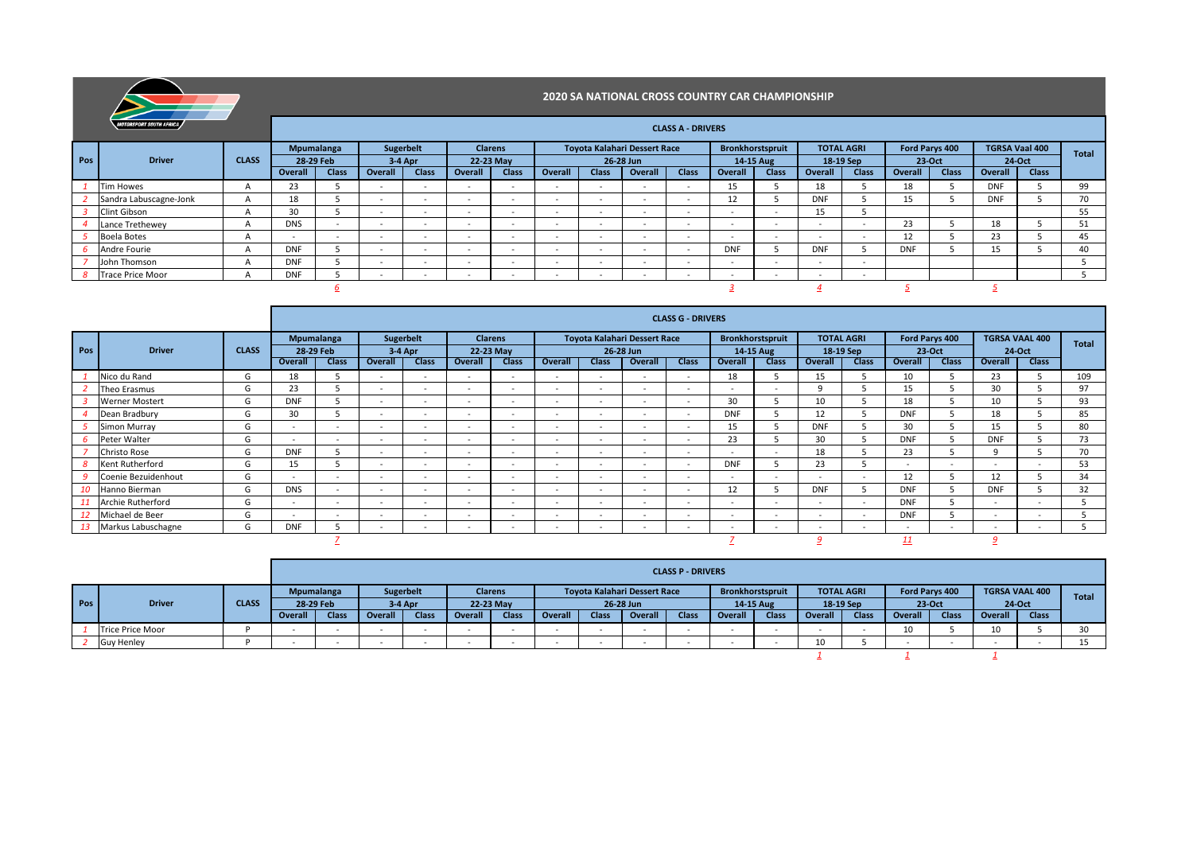

|     | MOTORSPORT SOUTH AFRICA |                |            |              |                          |                          |         |                          |                          |                          |                                     | <b>CLASS A - DRIVERS</b> |                          |                  |                          |                          |                |              |                       |              |              |
|-----|-------------------------|----------------|------------|--------------|--------------------------|--------------------------|---------|--------------------------|--------------------------|--------------------------|-------------------------------------|--------------------------|--------------------------|------------------|--------------------------|--------------------------|----------------|--------------|-----------------------|--------------|--------------|
|     |                         |                |            | Mpumalanga   | Sugerbelt                |                          |         | <b>Clarens</b>           |                          |                          | <b>Toyota Kalahari Dessert Race</b> |                          |                          | Bronkhorstspruit | <b>TOTAL AGRI</b>        |                          | Ford Parys 400 |              | <b>TGRSA Vaal 400</b> |              | <b>Total</b> |
| Pos | <b>Driver</b>           | <b>CLASS</b>   | 28-29 Feb  |              |                          | $3-4$ Apr                |         | 22-23 May                |                          |                          | 26-28 Jun                           |                          | 14-15 Aug                |                  | 18-19 Sep                |                          | 23-Oct         |              | 24-Oct                |              |              |
|     |                         |                | Overall    | <b>Class</b> | Overall                  | <b>Class</b>             | Overall | <b>Class</b>             | Overall                  | <b>Class</b>             | Overall                             | <b>Class</b>             | Overall                  | <b>Class</b>     | Overall                  | <b>Class</b>             | Overal         | <b>Class</b> | Overall               | <b>Class</b> |              |
|     | <b>Tim Howes</b>        | $\mathsf{A}$   | 23         |              | $\overline{\phantom{a}}$ | $\sim$                   | $\sim$  | $\overline{\phantom{a}}$ | $\sim$                   | $\overline{\phantom{a}}$ | $\overline{\phantom{a}}$            | $\sim$                   | 15                       |                  | 18                       |                          | 18             |              | <b>DNF</b>            |              | 99           |
|     | Sandra Labuscagne-Jonk  | $\overline{A}$ | 18         |              |                          | $\overline{\phantom{a}}$ | $\sim$  | $\overline{\phantom{a}}$ |                          | $\sim$                   | $\sim$                              |                          |                          |                  | <b>DNF</b>               |                          | 15             |              | <b>DNF</b>            |              | 70           |
|     | Clint Gibson            | $\mathsf{A}$   | 30         |              | $\overline{\phantom{0}}$ | $\overline{\phantom{a}}$ | $\sim$  | $\overline{\phantom{a}}$ | -                        | $\overline{\phantom{a}}$ | $\sim$                              | $\overline{\phantom{0}}$ | $\overline{\phantom{0}}$ |                  | $-$<br>15                |                          |                |              |                       |              | 55           |
|     | Lance Trethewey         | $\mathsf{A}$   | <b>DNS</b> | $\sim$       | $\overline{\phantom{a}}$ | $\overline{\phantom{a}}$ | $\sim$  | $\overline{\phantom{a}}$ | $\overline{\phantom{a}}$ | $\overline{\phantom{a}}$ | $\overline{\phantom{a}}$            | $\overline{\phantom{0}}$ | $\overline{\phantom{a}}$ | $\sim$           | $\overline{\phantom{a}}$ | $\overline{\phantom{a}}$ | 23             |              | 18                    |              | 51           |
|     | <b>Boela Botes</b>      | $\mathsf{H}$   |            | $\sim$       | $\overline{\phantom{a}}$ | $\sim$                   | $\sim$  | $\sim$                   | -                        | $\sim$                   | $\sim$                              | $\overline{\phantom{a}}$ | $\overline{\phantom{0}}$ | $\sim$           | $\overline{\phantom{a}}$ | $\overline{\phantom{a}}$ | 12             |              | 23                    |              | 45           |
|     | Andre Fourie            | $\mathsf{A}$   | <b>DNF</b> |              | $\overline{\phantom{a}}$ | $\overline{\phantom{a}}$ | $\sim$  | $\overline{\phantom{a}}$ | $\overline{\phantom{a}}$ | $\overline{\phantom{a}}$ | $\sim$                              | $\overline{\phantom{a}}$ | <b>DNF</b>               |                  | <b>DNF</b>               |                          | <b>DNF</b>     |              | 15                    |              | 40           |
|     | John Thomson            | $\overline{a}$ | <b>DNF</b> |              | $\overline{\phantom{a}}$ | $\overline{\phantom{a}}$ | $\sim$  | $\sim$                   | $\overline{\phantom{a}}$ | $\overline{\phantom{a}}$ | $\sim$                              | $\overline{\phantom{0}}$ | $\overline{\phantom{a}}$ | $\sim$           | $\overline{\phantom{a}}$ | $\overline{\phantom{a}}$ |                |              |                       |              |              |
|     | <b>Trace Price Moor</b> |                | <b>DNF</b> |              | ۰.                       | $\overline{\phantom{a}}$ | $\sim$  | -                        | -                        | $\overline{\phantom{a}}$ | $\sim$                              | $\overline{\phantom{0}}$ |                          |                  | -                        | $\overline{\phantom{a}}$ |                |              |                       |              |              |
|     |                         |                |            |              |                          |                          |         |                          |                          |                          |                                     |                          |                          |                  |                          |                          |                |              |                       |              |              |

|                  |                       |              |                          |                          |                          |                          |                          |                          |                          |                          |                                     | <b>CLASS G - DRIVERS</b> |                          |                         |                          |                   |                          |                          |            |                       |              |
|------------------|-----------------------|--------------|--------------------------|--------------------------|--------------------------|--------------------------|--------------------------|--------------------------|--------------------------|--------------------------|-------------------------------------|--------------------------|--------------------------|-------------------------|--------------------------|-------------------|--------------------------|--------------------------|------------|-----------------------|--------------|
|                  |                       |              |                          | <b>Mpumalanga</b>        |                          | <b>Sugerbelt</b>         | <b>Clarens</b>           |                          |                          |                          | <b>Toyota Kalahari Dessert Race</b> |                          |                          | <b>Bronkhorstspruit</b> |                          | <b>TOTAL AGRI</b> |                          | Ford Parys 400           |            | <b>TGRSA VAAL 400</b> | <b>Total</b> |
| Pos <sup>1</sup> | <b>Driver</b>         | <b>CLASS</b> |                          | 28-29 Feb                |                          | $3-4$ Apr                |                          | 22-23 May                |                          |                          | 26-28 Jun                           |                          |                          | 14-15 Aug               |                          | 18-19 Sep         |                          | 23-Oct                   |            | 24-Oct                |              |
|                  |                       |              | Overall                  | Class                    | Overall                  | <b>Class</b>             | Overall                  | <b>Class</b>             | Overall                  | <b>Class</b>             | Overall                             | <b>Class</b>             | Overall                  | <b>Class</b>            | Overall                  | <b>Class</b>      | Overall                  | <b>Class</b>             | Overall    | <b>Class</b>          |              |
|                  | Nico du Rand          | G            | 18                       |                          | $\sim$                   | $\sim$                   | $\sim$                   | $\overline{\phantom{a}}$ | $\overline{\phantom{a}}$ | $\sim$                   | $\overline{\phantom{0}}$            | $\overline{\phantom{a}}$ | 18                       |                         | 15                       |                   | 10                       |                          | 23         |                       | 109          |
|                  | Theo Erasmus          | G            | 23                       |                          | $\overline{\phantom{a}}$ | $\overline{\phantom{a}}$ | $\sim$                   | $\overline{\phantom{a}}$ | $\sim$                   | $\sim$                   | - -                                 | $\overline{\phantom{a}}$ | $\overline{\phantom{a}}$ | $\sim$                  | q                        |                   | 15                       |                          | 30         |                       | 97           |
|                  | <b>Werner Mostert</b> | G            | <b>DNF</b>               |                          | $\overline{\phantom{a}}$ | $\sim$                   | $\sim$                   | $\overline{\phantom{0}}$ | $\sim$                   | $\sim$                   | $\overline{\phantom{a}}$            | $\overline{\phantom{0}}$ | 30                       |                         | 10                       |                   | 18                       |                          | 10         |                       | 93           |
|                  | Dean Bradbury         | G            | 30                       |                          | $\overline{\phantom{a}}$ | $\sim$                   | $\sim$                   | $\overline{\phantom{a}}$ | $\overline{\phantom{a}}$ | $\overline{\phantom{a}}$ | <b>.</b>                            | $\sim$                   | <b>DNF</b>               |                         | 12                       |                   | <b>DNF</b>               |                          | 18         |                       | 85           |
|                  | <b>Simon Murray</b>   | G            | $\overline{\phantom{0}}$ | $\overline{\phantom{a}}$ | $\overline{\phantom{a}}$ | $\sim$                   | $\sim$                   | $\overline{\phantom{a}}$ | $\overline{\phantom{a}}$ | $\sim$                   | <b>.</b>                            | $\overline{\phantom{0}}$ | 15                       |                         | <b>DNF</b>               |                   | 30                       |                          | 15         |                       | 80           |
|                  | Peter Walter          | G            | $\overline{\phantom{0}}$ | $\sim$                   | $\overline{\phantom{a}}$ | $\overline{\phantom{a}}$ | $\overline{\phantom{0}}$ | $\sim$                   | $\sim$                   | $\sim$                   | $\overline{\phantom{a}}$            | $\overline{\phantom{a}}$ | 23                       |                         | 30                       |                   | <b>DNF</b>               |                          | <b>DNF</b> |                       | 73           |
|                  | <b>Christo Rose</b>   | G            | <b>DNF</b>               |                          | $\overline{\phantom{a}}$ | $\sim$                   | $\sim$                   | $\overline{\phantom{a}}$ | $\sim$                   | $\overline{\phantom{a}}$ | $\overline{\phantom{0}}$            | $\overline{\phantom{0}}$ |                          | $\sim$                  | 18                       |                   | 23                       |                          |            |                       | 70           |
|                  | Kent Rutherford       | G            | 15                       |                          | $\overline{\phantom{a}}$ | $\sim$                   | $\overline{\phantom{a}}$ | $\overline{\phantom{a}}$ | $\sim$                   | $\sim$                   | $\overline{\phantom{a}}$            | $\overline{\phantom{0}}$ | <b>DNF</b>               |                         | 23                       |                   | $\overline{\phantom{a}}$ | $\overline{\phantom{0}}$ | $\sim$     | $\sim$                | 53           |
|                  | Coenie Bezuidenhout   | G            | $\overline{\phantom{a}}$ | $\overline{\phantom{a}}$ | $\overline{\phantom{a}}$ | $\sim$                   | $\sim$                   | $\overline{\phantom{a}}$ | $\sim$                   | $\overline{\phantom{a}}$ | $\overline{\phantom{a}}$            | $\overline{\phantom{0}}$ | $\overline{\phantom{a}}$ | $\sim$                  | $\overline{\phantom{a}}$ | $\sim$            | 12                       |                          | 12         |                       | 34           |
|                  | Hanno Bierman         | G            | <b>DNS</b>               | $\sim$                   | $\overline{\phantom{a}}$ | $\sim$                   | $\sim$                   | $\sim$                   | $\sim$                   | $\overline{\phantom{a}}$ | $\overline{\phantom{0}}$            | $\overline{\phantom{0}}$ | 12                       |                         | <b>DNF</b>               |                   | <b>DNF</b>               |                          | <b>DNF</b> |                       | 32           |
|                  | Archie Rutherford     | G            | $\sim$                   | $\sim$                   | $\overline{\phantom{a}}$ | $\sim$                   | $\sim$                   | $\overline{\phantom{0}}$ | $\sim$                   | $\sim$                   | $\overline{\phantom{a}}$            | $\overline{\phantom{a}}$ | $\overline{\phantom{0}}$ | $\sim$                  | $\overline{\phantom{a}}$ | $\sim$            | <b>DNF</b>               |                          | $\sim$     | $\sim$                |              |
|                  | Michael de Beer       | G            | $\sim$                   | $\sim$                   | $\overline{\phantom{a}}$ | $\overline{\phantom{a}}$ | $\sim$                   | $\sim$                   | $\sim$                   | $\sim$                   | $\overline{\phantom{0}}$            | $\overline{\phantom{a}}$ | $\sim$                   | $\sim$                  | $\overline{\phantom{a}}$ | $\sim$            | <b>DNF</b>               |                          | $\sim$     | $\sim$                |              |
|                  | 13 Markus Labuschagne | G            | <b>DNF</b>               |                          | $\sim$                   |                          | $\sim$                   | $\overline{\phantom{a}}$ | $\sim$                   | $\sim$                   | <b>.</b>                            | $\overline{\phantom{0}}$ |                          | $\sim$                  | $\overline{\phantom{a}}$ | $\sim$            | $\sim$                   |                          | $\sim$     | $\sim$                |              |
|                  |                       |              |                          |                          |                          |                          |                          |                          |                          |                          |                                     |                          |                          |                         |                          |                   | 11                       |                          |            |                       |              |

|     |                         |              |         |                   |           |              |                |              |         |              |                                     | <b>CLASS P - DRIVERS</b> |                         |       |           |                   |                |              |                       |              |              |
|-----|-------------------------|--------------|---------|-------------------|-----------|--------------|----------------|--------------|---------|--------------|-------------------------------------|--------------------------|-------------------------|-------|-----------|-------------------|----------------|--------------|-----------------------|--------------|--------------|
|     |                         |              |         | <b>Mpumalanga</b> | Sugerbelt |              | <b>Clarens</b> |              |         |              | <b>Tovota Kalahari Dessert Race</b> |                          | <b>Bronkhorstspruit</b> |       |           | <b>TOTAL AGRI</b> | Ford Parys 400 |              | <b>TGRSA VAAL 400</b> |              | <b>Total</b> |
| Pos | <b>Driver</b>           | <b>CLASS</b> |         | 28-29 Feb         |           | $3-4$ Apr    |                | 22-23 May    |         |              | 26-28 Jun                           |                          | 14-15 Aug               |       | 18-19 Sep |                   | $23-Oct$       |              | 24-Oct                |              |              |
|     |                         |              | Overall | Class             | Overall   | <b>Class</b> | Overall        | <b>Class</b> | Overall | <b>Class</b> | Overall                             | <b>Class</b>             | Overall                 | Class | Overall   | Class             | <b>Overall</b> | <b>Class</b> | Overall               | <b>Class</b> |              |
|     | <b>Trice Price Moor</b> |              |         |                   |           |              |                |              |         |              |                                     |                          |                         |       |           |                   | 10             |              |                       |              | 30           |
|     | <b>Guy Henley</b>       |              |         |                   |           |              |                |              |         |              |                                     |                          |                         |       | 10        |                   |                |              |                       |              |              |
|     |                         |              |         |                   |           |              |                |              |         |              |                                     |                          |                         |       |           |                   |                |              |                       |              |              |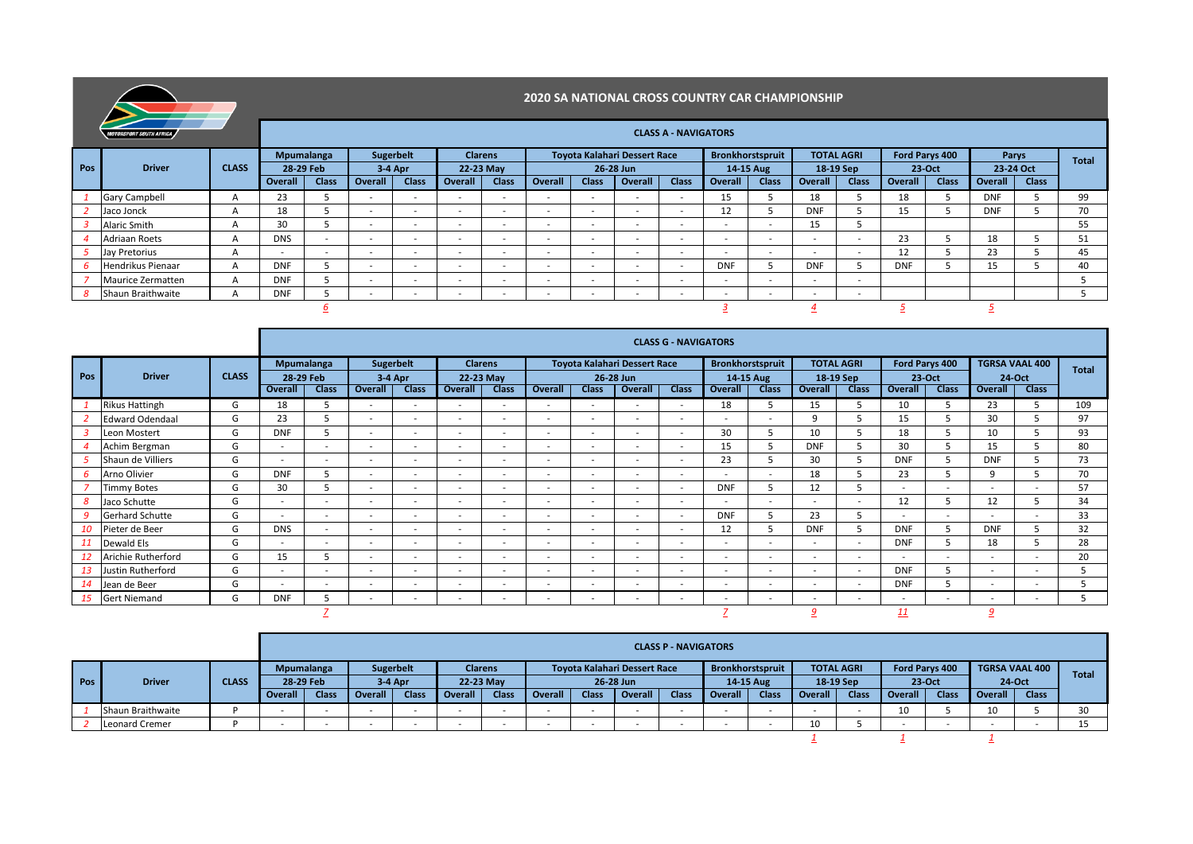|     |                                |              |                                                                                                                                                                                                                                                                                                                                                                                                   |                                                                                                                                            |     |                          |        |                | <b>2020 SA NATIONAL CROSS COUNTRY CAR CHAMPIONSHIP</b> |  |                                     |                             |                          |                          |            |                   |            |                |       |           |              |
|-----|--------------------------------|--------------|---------------------------------------------------------------------------------------------------------------------------------------------------------------------------------------------------------------------------------------------------------------------------------------------------------------------------------------------------------------------------------------------------|--------------------------------------------------------------------------------------------------------------------------------------------|-----|--------------------------|--------|----------------|--------------------------------------------------------|--|-------------------------------------|-----------------------------|--------------------------|--------------------------|------------|-------------------|------------|----------------|-------|-----------|--------------|
|     | <b>MOTORSPORT SOUTH AFRICA</b> |              |                                                                                                                                                                                                                                                                                                                                                                                                   |                                                                                                                                            |     |                          |        |                |                                                        |  |                                     | <b>CLASS A - NAVIGATORS</b> |                          |                          |            |                   |            |                |       |           |              |
|     |                                |              | Mpumalanga                                                                                                                                                                                                                                                                                                                                                                                        |                                                                                                                                            |     | Sugerbelt                |        | <b>Clarens</b> |                                                        |  | <b>Toyota Kalahari Dessert Race</b> |                             |                          | Bronkhorstspruit         |            | <b>TOTAL AGRI</b> |            | Ford Parys 400 | Parys |           | <b>Total</b> |
| Pos | <b>Driver</b>                  | <b>CLASS</b> | 28-29 Feb                                                                                                                                                                                                                                                                                                                                                                                         |                                                                                                                                            |     | $3-4$ Apr                |        | 22-23 May      |                                                        |  | 26-28 Jun                           |                             |                          | 14-15 Aug                | 18-19 Sep  |                   |            | $23-Oct$       |       | 23-24 Oct |              |
|     |                                |              | <b>Class</b><br><b>Class</b><br>Overall<br><b>Class</b><br>Overall<br><b>Class</b><br><b>Overall</b><br><b>Class</b><br>Overall<br><b>Class</b><br>Overall<br><b>Class</b><br>Overall<br><b>Class</b><br>Overall<br><b>Class</b><br><b>Overall</b><br>Overall<br>23<br>18<br>15<br>18<br><b>DNF</b><br>$\mathsf{A}$<br>$\sim$<br>$\sim$<br>$\sim$<br>$\sim$<br>$\sim$<br>$\overline{\phantom{a}}$ |                                                                                                                                            |     |                          |        |                |                                                        |  |                                     |                             |                          |                          |            |                   |            |                |       |           |              |
|     | <b>Gary Campbell</b>           |              |                                                                                                                                                                                                                                                                                                                                                                                                   | <b>DNF</b><br><b>DNF</b><br>$\sim$<br>$\sim$<br>$\overline{\phantom{a}}$<br>$\sim$<br>$\overline{\phantom{a}}$<br>$\overline{\phantom{a}}$ |     |                          |        |                |                                                        |  |                                     |                             |                          |                          |            |                   |            |                | 99    |           |              |
|     | Jaco Jonck                     | $\mathsf{A}$ | 18<br>15<br>12                                                                                                                                                                                                                                                                                                                                                                                    |                                                                                                                                            |     |                          |        |                |                                                        |  |                                     |                             |                          |                          |            |                   |            | 70             |       |           |              |
|     | Alaric Smith                   | A            | 30                                                                                                                                                                                                                                                                                                                                                                                                |                                                                                                                                            |     | $\overline{\phantom{a}}$ | $\sim$ | $\sim$         | $\sim$                                                 |  | $\overline{\phantom{a}}$            | $\sim$                      | $\overline{\phantom{a}}$ | $\overline{\phantom{a}}$ | 15         |                   |            |                |       |           | 55           |
|     | <b>Adriaan Roets</b>           | $\mathsf{A}$ | <b>DNS</b>                                                                                                                                                                                                                                                                                                                                                                                        | $\overline{\phantom{a}}$                                                                                                                   |     | $\sim$                   |        |                |                                                        |  | $\overline{\phantom{a}}$            |                             | . .                      |                          |            |                   | 23         |                | 18    |           | 51           |
|     | Jay Pretorius                  | A            |                                                                                                                                                                                                                                                                                                                                                                                                   | $\overline{\phantom{a}}$                                                                                                                   | . . |                          | $\sim$ | . .            |                                                        |  | $\overline{\phantom{a}}$            | $\sim$                      | $\sim$                   | $\sim$                   |            | <b>COL</b>        | 12         |                | 23    |           | 45           |
|     | Hendrikus Pienaar              | A            | <b>DNF</b>                                                                                                                                                                                                                                                                                                                                                                                        |                                                                                                                                            |     | $\sim$                   | $\sim$ | $\sim$         | $\sim$                                                 |  | $\overline{\phantom{a}}$            | $\sim$                      | <b>DNF</b>               |                          | <b>DNF</b> |                   | <b>DNF</b> |                | 15    |           | 40           |
|     | Maurice Zermatten              | A            | <b>DNF</b>                                                                                                                                                                                                                                                                                                                                                                                        |                                                                                                                                            |     | $\sim$                   | $\sim$ | . .            | $\sim$                                                 |  | $\overline{\phantom{a}}$            | $\sim$                      |                          |                          |            |                   |            |                |       |           |              |
|     | 8 Shaun Braithwaite            |              | <b>DNF</b>                                                                                                                                                                                                                                                                                                                                                                                        |                                                                                                                                            |     |                          | $\sim$ |                | $\sim$                                                 |  | $\overline{\phantom{a}}$            |                             |                          | $\overline{\phantom{a}}$ |            | <b>COL</b>        |            |                |       |           |              |
|     |                                |              |                                                                                                                                                                                                                                                                                                                                                                                                   |                                                                                                                                            |     |                          |        |                |                                                        |  |                                     |                             |                          |                          |            |                   |            |                |       |           |              |

|     |                                                                                                                                                                                                                                                                                                                                            |              |                          |                          |            |                          |         |                |                          |                          |                                     | <b>CLASS G - NAVIGATORS</b> |                          |                          |                          |                   |                |                          |                          |                          |              |
|-----|--------------------------------------------------------------------------------------------------------------------------------------------------------------------------------------------------------------------------------------------------------------------------------------------------------------------------------------------|--------------|--------------------------|--------------------------|------------|--------------------------|---------|----------------|--------------------------|--------------------------|-------------------------------------|-----------------------------|--------------------------|--------------------------|--------------------------|-------------------|----------------|--------------------------|--------------------------|--------------------------|--------------|
|     |                                                                                                                                                                                                                                                                                                                                            |              |                          | Mpumalanga               | Sugerbelt  |                          |         | <b>Clarens</b> |                          |                          | <b>Toyota Kalahari Dessert Race</b> |                             | Bronkhorstspruit         |                          |                          | <b>TOTAL AGRI</b> | Ford Parys 400 |                          | <b>TGRSA VAAL 400</b>    |                          | <b>Total</b> |
| Pos | <b>Driver</b>                                                                                                                                                                                                                                                                                                                              | <b>CLASS</b> | 28-29 Feb                |                          | $3-4$ Apr  |                          |         | 22-23 May      |                          |                          | 26-28 Jun                           |                             |                          | 14-15 Aug                |                          | 18-19 Sep         |                | 23-Oct                   | 24-Oct                   |                          |              |
|     |                                                                                                                                                                                                                                                                                                                                            |              | Overall                  | <b>Class</b>             | Overall    | <b>Class</b>             | Overall | <b>Class</b>   | Overall                  | <b>Class</b>             | Overall                             | <b>Class</b>                | Overall                  | <b>Class</b>             | Overall                  | <b>Class</b>      | Overall        | <b>Class</b>             | Overall                  | <b>Class</b>             |              |
|     | <b>Rikus Hattingh</b>                                                                                                                                                                                                                                                                                                                      | G            | 18                       | 5                        |            | $\sim$                   | $\sim$  | $\sim$         | $\overline{\phantom{a}}$ | $\sim$                   | $\sim$                              | $\sim$                      | 18                       |                          | 15                       |                   | 10             | 5                        | 23                       |                          | 109          |
|     | <b>Edward Odendaal</b>                                                                                                                                                                                                                                                                                                                     | G            | 23                       | 5                        |            | $\overline{\phantom{a}}$ | $\sim$  | $\sim$         | $\sim$                   |                          | $\sim$                              | $\sim$                      | $\sim$                   | ×.                       | $\mathbf{q}$             |                   | 15             | 5                        | 30                       |                          | 97           |
|     | Leon Mostert                                                                                                                                                                                                                                                                                                                               | G            | <b>DNF</b>               | 5                        |            | $\sim$                   | a.      | $\sim$         | $\overline{\phantom{a}}$ | $\sim$                   | $\sim$                              | $\sim$                      | 30                       |                          | 10                       |                   | 18             | 5                        | 10                       |                          | 93           |
|     | Achim Bergman                                                                                                                                                                                                                                                                                                                              | G            | $\sim$                   | $\overline{\phantom{a}}$ |            | $\sim$                   | $\sim$  | $\sim$         | $\sim$                   | $\sim$                   | $\sim$                              | $\sim$                      | 15                       |                          | <b>DNF</b>               |                   | 30             | 5                        | 15                       |                          | 80           |
|     | G<br>23<br>30<br><b>DNF</b><br>Shaun de Villiers<br><b>DNF</b><br>$\sim$<br>$\sim$<br>$\sim$<br>$\sim$<br>$\sim$<br>$\overline{\phantom{a}}$<br>$\sim$<br>$\overline{\phantom{a}}$<br>a.<br>$\sim$<br>5<br>q<br>$\sim$<br>$\sim$<br>$\sim$<br>$\sim$<br>$\overline{\phantom{a}}$<br>$\sim$<br>$\sim$<br>$\sim$<br>$\overline{\phantom{a}}$ |              |                          |                          |            |                          |         |                |                          |                          |                                     |                             |                          |                          |                          |                   | 73             |                          |                          |                          |              |
| 6   | Arno Olivier                                                                                                                                                                                                                                                                                                                               | G            | <b>DNF</b>               |                          |            |                          |         |                |                          |                          |                                     |                             |                          |                          | 18                       |                   | 23             |                          |                          |                          | 70           |
|     | <b>Timmy Botes</b>                                                                                                                                                                                                                                                                                                                         | G            | 30                       | 5                        |            | $\sim$                   | a.      | $\sim$         | $\sim$                   | $\sim$                   | $\sim$                              | $\sim$                      | <b>DNF</b>               |                          | 12                       |                   | ×.             | $\sim$                   | $\sim$                   | $\overline{\phantom{a}}$ | 57           |
| 8   | Jaco Schutte                                                                                                                                                                                                                                                                                                                               | G            | $\sim$                   |                          |            | $\sim$                   | $\sim$  | $\sim$         | $\overline{\phantom{a}}$ | ٠                        | $\sim$                              | <b>COL</b>                  | $\overline{\phantom{a}}$ | ٠                        | ۰                        | <b>COL</b>        | 12             | 5                        | 12                       |                          | 34           |
| 9   | <b>Gerhard Schutte</b>                                                                                                                                                                                                                                                                                                                     | G            | $\sim$                   | $\overline{\phantom{a}}$ |            | ۰.                       | a.      | $\sim$         | $\sim$                   | ٠                        | $\sim$                              | $\sim$                      | <b>DNF</b>               |                          | 23                       |                   | $\sim$         |                          | ٠                        | $\overline{\phantom{a}}$ | 33           |
| 10  | Pieter de Beer                                                                                                                                                                                                                                                                                                                             | G            | <b>DNS</b>               | $\overline{\phantom{a}}$ |            | $\overline{\phantom{a}}$ | $\sim$  | $\sim$         | $\sim$                   | $\overline{\phantom{a}}$ | $\overline{\phantom{a}}$            | $\sim$                      | 12                       | ב                        | <b>DNF</b>               |                   | <b>DNF</b>     | 5                        | <b>DNF</b>               |                          | 32           |
| 11  | Dewald Els                                                                                                                                                                                                                                                                                                                                 | G            | $\overline{\phantom{a}}$ | $\overline{\phantom{a}}$ |            | $\overline{\phantom{a}}$ | $\sim$  | $\sim$         | $\overline{\phantom{a}}$ | $\overline{\phantom{a}}$ | $\overline{\phantom{a}}$            | $\sim$                      | $\overline{\phantom{a}}$ | ۰                        | $\overline{\phantom{a}}$ | <b>COLUM</b>      | <b>DNF</b>     | 5                        | 18                       |                          | 28           |
|     | Arichie Rutherford                                                                                                                                                                                                                                                                                                                         | G            | 15                       | 5                        |            | $\sim$                   | $\sim$  | $\sim$         | $\overline{\phantom{a}}$ | $\sim$                   | $\sim$                              | $\sim$                      | $\sim$                   | ×.                       | $\sim$                   | <b>COL</b>        | $\sim$         | $\sim$                   | $\sim$                   | $\overline{\phantom{a}}$ | 20           |
|     | Justin Rutherford                                                                                                                                                                                                                                                                                                                          | G            | $\sim$                   |                          |            | $\sim$                   | a.      | $\sim$         | $\overline{\phantom{a}}$ | ۰                        | $\sim$                              | <b>COL</b>                  | $\sim$                   | ٠                        |                          | <b>м.</b>         | <b>DNF</b>     | 5                        | $\sim$                   |                          |              |
| 14  | Jean de Beer                                                                                                                                                                                                                                                                                                                               | G            | $\sim$                   |                          | <b>COL</b> | $\sim$                   | a.      | $\sim$         | $\sim$                   |                          | $\overline{\phantom{a}}$            | <b>COL</b>                  | $\overline{\phantom{a}}$ | $\sim$                   |                          | $\sim$            | <b>DNF</b>     | 5                        | $\sim$                   | $\overline{\phantom{a}}$ |              |
| 15  | <b>Gert Niemand</b>                                                                                                                                                                                                                                                                                                                        | G            | <b>DNF</b>               | ь                        |            | $\overline{\phantom{a}}$ | $\sim$  | . .            |                          | ۰                        | $\overline{\phantom{a}}$            |                             | $\overline{\phantom{a}}$ | $\overline{\phantom{a}}$ | ۰                        | <b>COLUM</b>      | . .            | $\overline{\phantom{a}}$ | $\overline{\phantom{a}}$ | $\overline{\phantom{a}}$ |              |
|     |                                                                                                                                                                                                                                                                                                                                            |              |                          |                          |            |                          |         |                |                          |                          |                                     |                             |                          |                          |                          |                   | 11             |                          | 9                        |                          |              |

|     |                       |              |                   |              |                  |              |                |              |         |       |                              | <b>CLASS P - NAVIGATORS</b> |                |                         |         |                   |                       |          |                       |              |              |
|-----|-----------------------|--------------|-------------------|--------------|------------------|--------------|----------------|--------------|---------|-------|------------------------------|-----------------------------|----------------|-------------------------|---------|-------------------|-----------------------|----------|-----------------------|--------------|--------------|
|     |                       |              | <b>Mpumalanga</b> |              | <b>Sugerbelt</b> |              | <b>Clarens</b> |              |         |       | Toyota Kalahari Dessert Race |                             |                | <b>Bronkhorstspruit</b> |         | <b>TOTAL AGRI</b> | <b>Ford Parys 400</b> |          | <b>TGRSA VAAL 400</b> |              | <b>Total</b> |
| Pos | <b>Driver</b>         | <b>CLASS</b> | 28-29 Feb         |              | $3-4$ Apr        |              | 22-23 May      |              |         |       | 26-28 Jun                    |                             |                | 14-15 Aug               |         | 18-19 Sep         |                       | $23-Oct$ | 24-Oct                |              |              |
|     |                       |              | Overall           | <b>Class</b> | <b>Overall</b>   | <b>Class</b> | Overall        | <b>Class</b> | Overall | Class | Overall                      | <b>Class</b>                | <b>Overall</b> | <b>Class</b>            | Overall | <b>Class</b>      | Overall               | Class    | Overall               | <b>Class</b> |              |
|     | Shaun Braithwaite     |              |                   |              |                  |              |                |              |         |       |                              |                             |                |                         |         |                   | 10                    |          | 10                    |              |              |
|     | <b>Leonard Cremer</b> |              |                   |              |                  |              |                |              |         |       |                              |                             |                |                         | 10      |                   |                       |          | $\sim$                |              |              |
|     |                       |              |                   |              |                  |              |                |              |         |       |                              |                             |                |                         |         |                   |                       |          |                       |              |              |

*1 1 1*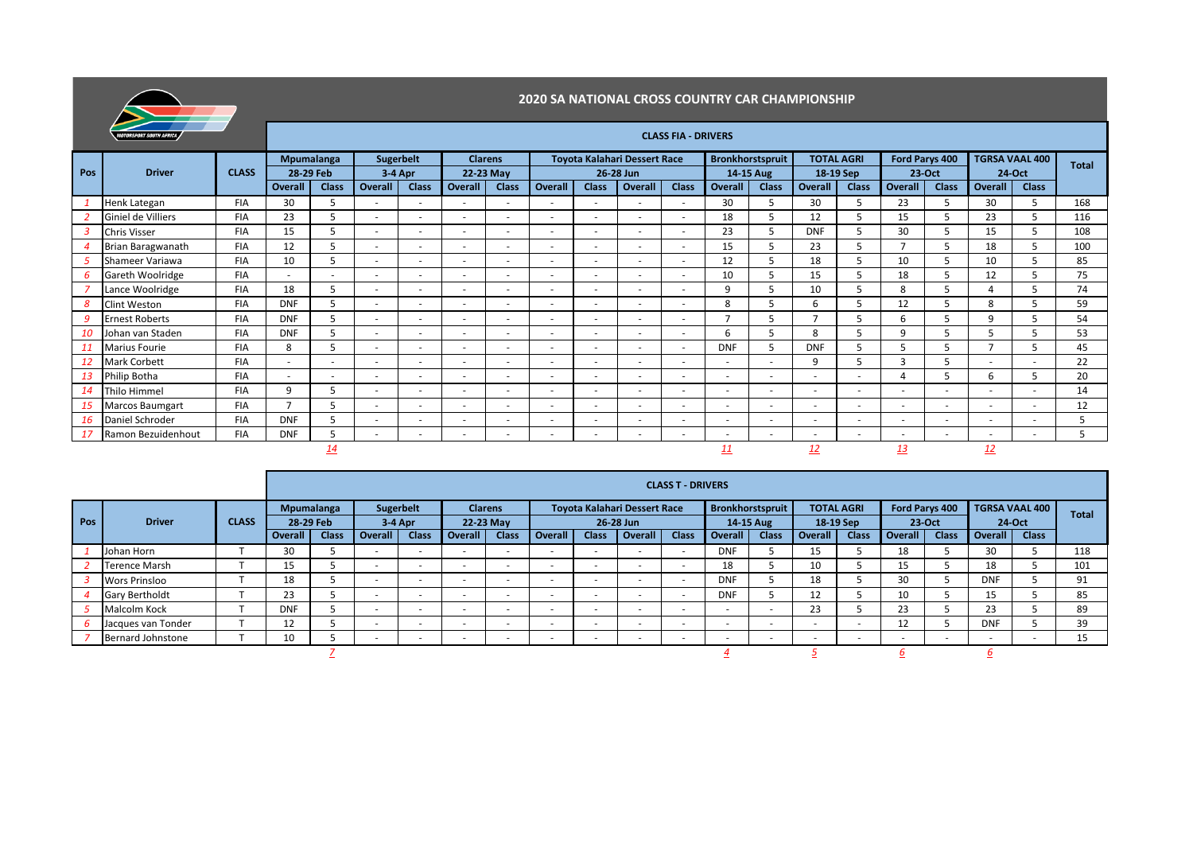

|     | <b>MOTORSPORT SOUTH AFRICA</b> |              |                                |                          |                          |                          |                          |                             |                          |                          |                                           | <b>CLASS FIA - DRIVERS</b> |                          |                |                          |                          |                          |                          |                          |                                 |              |
|-----|--------------------------------|--------------|--------------------------------|--------------------------|--------------------------|--------------------------|--------------------------|-----------------------------|--------------------------|--------------------------|-------------------------------------------|----------------------------|--------------------------|----------------|--------------------------|--------------------------|--------------------------|--------------------------|--------------------------|---------------------------------|--------------|
| Pos | <b>Driver</b>                  | <b>CLASS</b> | <b>Mpumalanga</b><br>28-29 Feb |                          | <b>Sugerbelt</b>         | 3-4 Apr                  |                          | <b>Clarens</b><br>22-23 May |                          |                          | Toyota Kalahari Dessert Race<br>26-28 Jun |                            | Bronkhorstspruit         | 14-15 Aug      | <b>TOTAL AGRI</b>        | 18-19 Sep                |                          | Ford Parys 400<br>23-Oct |                          | <b>TGRSA VAAL 400</b><br>24-Oct | <b>Total</b> |
|     |                                |              | Overall                        | <b>Class</b>             | Overall                  | <b>Class</b>             | Overall                  | <b>Class</b>                | <b>Overall</b>           | <b>Class</b>             | <b>Overall</b>                            | <b>Class</b>               | Overall                  | <b>Class</b>   | Overall                  | <b>Class</b>             | Overall                  | <b>Class</b>             | Overall                  | <b>Class</b>                    |              |
|     | Henk Lategan                   | <b>FIA</b>   | 30                             |                          |                          | $\sim$                   | $\overline{\phantom{a}}$ | $\overline{a}$              | $\overline{\phantom{a}}$ | $\overline{\phantom{a}}$ | $\overline{a}$                            | $\overline{a}$             | 30                       | 5              | 30                       |                          | 23                       |                          | 30                       | 5                               | 168          |
|     | Giniel de Villiers             | <b>FIA</b>   | 23                             |                          | $\sim$                   | $\sim$                   | $\overline{\phantom{a}}$ | $\overline{\phantom{a}}$    | $\sim$                   | $\overline{\phantom{a}}$ | $\sim$                                    | $\overline{a}$             | 18                       |                | 12                       |                          | 15                       |                          | 23                       |                                 | 116          |
|     | Chris Visser                   | <b>FIA</b>   | 15                             | 5                        |                          | $\sim$                   | $\overline{\phantom{0}}$ | $\overline{a}$              | $\overline{\phantom{a}}$ |                          |                                           | $\overline{a}$             | 23                       | 5              | <b>DNF</b>               |                          | 30                       |                          | 15                       |                                 | 108          |
|     | Brian Baragwanath              | <b>FIA</b>   | 12                             |                          | $\overline{a}$           | $\sim$                   | $\overline{\phantom{0}}$ | $\overline{a}$              | $\overline{\phantom{a}}$ | $\overline{\phantom{0}}$ | $\sim$                                    | $\overline{a}$             | 15                       | 5              | 23                       |                          |                          |                          | 18                       | 5                               | 100          |
|     | Shameer Variawa                | <b>FIA</b>   | 10                             |                          |                          | $\overline{a}$           | $\overline{\phantom{a}}$ | $\overline{a}$              | $\overline{\phantom{a}}$ | $\overline{\phantom{0}}$ |                                           |                            | 12                       |                | 18                       |                          | 10                       |                          | 10                       |                                 | 85           |
|     | Gareth Woolridge               | <b>FIA</b>   | $\overline{\phantom{a}}$       | $\overline{\phantom{a}}$ |                          | $\sim$                   | $\overline{\phantom{0}}$ | $\overline{\phantom{a}}$    | $\sim$                   | $\overline{\phantom{a}}$ | $\sim$                                    | $\overline{a}$             | 10                       |                | 15                       | 5                        | 18                       |                          | 12                       |                                 | 75           |
|     | Lance Woolridge                | <b>FIA</b>   | 18                             | 5                        |                          | $\sim$                   | $\overline{\phantom{0}}$ | $\overline{a}$              | $\overline{\phantom{a}}$ | $\overline{\phantom{a}}$ |                                           | $\overline{\phantom{0}}$   | q                        |                | 10                       |                          | 8                        |                          |                          |                                 | 74           |
|     | Clint Weston                   | <b>FIA</b>   | <b>DNF</b>                     |                          |                          | $\sim$                   | $\overline{\phantom{a}}$ | $\overline{\phantom{a}}$    | $\overline{\phantom{a}}$ |                          | $\sim$                                    | $\overline{a}$             | 8                        |                | 6                        |                          | 12                       |                          | 8                        |                                 | 59           |
|     | <b>Ernest Roberts</b>          | <b>FIA</b>   | <b>DNF</b>                     | 5                        |                          | $\sim$                   | $\overline{\phantom{0}}$ | $\overline{\phantom{a}}$    | $\overline{a}$           | $\overline{\phantom{0}}$ | $\overline{\phantom{a}}$                  | $\overline{\phantom{0}}$   | $\overline{\phantom{a}}$ |                |                          |                          | 6                        |                          | q                        |                                 | 54           |
|     | Johan van Staden               | <b>FIA</b>   | <b>DNF</b>                     |                          | $\sim$                   | $\sim$                   | $\overline{\phantom{a}}$ | $\overline{a}$              | $\sim$                   | $\overline{\phantom{a}}$ | $\overline{a}$                            | $\sim$                     | 6                        |                | 8                        |                          | q                        |                          |                          |                                 | 53           |
|     | Marius Fourie                  | <b>FIA</b>   | 8                              | 5                        |                          | $\overline{a}$           | $\overline{\phantom{a}}$ | $\overline{\phantom{a}}$    |                          |                          |                                           |                            | <b>DNF</b>               | 5              | <b>DNF</b>               |                          |                          |                          | $\overline{ }$           |                                 | 45           |
|     | Mark Corbett                   | <b>FIA</b>   | $\overline{\phantom{a}}$       | $\overline{\phantom{0}}$ | $\overline{\phantom{0}}$ | $\sim$                   | $\overline{\phantom{a}}$ | $\overline{\phantom{a}}$    | $\overline{a}$           | $\overline{\phantom{a}}$ | $\sim$                                    | $\overline{a}$             | $\overline{\phantom{a}}$ | $\sim$         | g                        |                          | 3                        |                          | $\overline{\phantom{0}}$ | $\overline{\phantom{0}}$        | 22           |
|     | Philip Botha                   | <b>FIA</b>   | $\overline{\phantom{a}}$       | $\overline{\phantom{a}}$ |                          | $\sim$                   | $\overline{\phantom{a}}$ | $\sim$                      | $\overline{\phantom{a}}$ | $\overline{\phantom{a}}$ | $\sim$                                    | $\overline{\phantom{a}}$   | $\overline{\phantom{a}}$ | $\sim$         | $\overline{\phantom{a}}$ | $\overline{\phantom{0}}$ |                          |                          | 6                        | 5                               | 20           |
|     | Thilo Himmel                   | <b>FIA</b>   | 9                              | 5                        | ۰.                       | $\sim$                   | $\overline{\phantom{a}}$ | $\overline{\phantom{a}}$    | $\overline{a}$           | $\sim$                   | $\overline{\phantom{0}}$                  | $\sim$                     | $\overline{\phantom{a}}$ | $\overline{a}$ | <u>. .</u>               | $\sim$                   | $\overline{\phantom{a}}$ | $\sim$                   | $\overline{\phantom{a}}$ |                                 | 14           |
|     | <b>Marcos Baumgart</b>         | <b>FIA</b>   |                                |                          |                          | $\overline{a}$           | $\overline{\phantom{a}}$ | $\overline{a}$              | $\overline{\phantom{a}}$ | $\overline{\phantom{a}}$ | $\overline{a}$                            | $\overline{a}$             | $\overline{\phantom{a}}$ | $\overline{a}$ | $\overline{\phantom{a}}$ | $\overline{\phantom{a}}$ |                          | $\overline{\phantom{a}}$ | $\overline{\phantom{0}}$ |                                 | 12           |
| 16  | Daniel Schroder                | <b>FIA</b>   | <b>DNF</b>                     |                          | $\overline{a}$           | $\sim$                   | $\overline{\phantom{a}}$ | $\overline{\phantom{a}}$    | $\sim$                   | $\overline{\phantom{a}}$ | $\sim$                                    | $\overline{a}$             | ٠                        | $\sim$         | $\overline{\phantom{a}}$ | $\overline{\phantom{a}}$ | $\overline{\phantom{a}}$ | $\overline{\phantom{a}}$ | ٠                        | $\overline{\phantom{a}}$        | 5            |
|     | Ramon Bezuidenhout             | <b>FIA</b>   | <b>DNF</b>                     | b.                       |                          | $\overline{\phantom{a}}$ | $\overline{\phantom{a}}$ |                             | ٠                        |                          |                                           |                            | $\overline{\phantom{a}}$ | $\sim$         | ٠                        | $\overline{a}$           |                          |                          | $\overline{\phantom{a}}$ |                                 | 5            |
|     |                                |              |                                | <u>14</u>                |                          |                          |                          |                             |                          |                          |                                           |                            |                          |                | <u> 12</u>               |                          | <u>13</u>                |                          | 12                       |                                 |              |

|     |                       |              |            |              |                          |                          |                          |              |                          |                          |                              | <b>CLASS T - DRIVERS</b> |                          |                          |                          |              |                          |              |                |                |              |
|-----|-----------------------|--------------|------------|--------------|--------------------------|--------------------------|--------------------------|--------------|--------------------------|--------------------------|------------------------------|--------------------------|--------------------------|--------------------------|--------------------------|--------------|--------------------------|--------------|----------------|----------------|--------------|
|     |                       |              |            | Mpumalanga   | Sugerbelt                |                          | <b>Clarens</b>           |              |                          |                          | Toyota Kalahari Dessert Race |                          |                          | <b>Bronkhorstspruit</b>  | <b>TOTAL AGRI</b>        |              | Ford Parys 400           |              |                | TGRSA VAAL 400 | <b>Total</b> |
| Pos | <b>Driver</b>         | <b>CLASS</b> | 28-29 Feb  |              | 3-4 Apr                  |                          |                          | 22-23 May    |                          |                          | 26-28 Jun                    |                          |                          | 14-15 Aug                | 18-19 Sep                |              |                          | 23-Oct       |                | 24-Oct         |              |
|     |                       |              | Overall    | <b>Class</b> | <b>Overall</b>           | <b>Class</b>             | Overall                  | <b>Class</b> | Overall                  | <b>Class</b>             | <b>Overall</b>               | <b>Class</b>             | <b>Overall</b>           | <b>Class</b>             | Overall                  | <b>Class</b> | <b>Overall</b>           | <b>Class</b> | <b>Overall</b> | <b>Class</b>   |              |
|     | Johan Horn            |              | 30         |              | $\overline{\phantom{a}}$ | $\overline{\phantom{0}}$ | $\overline{\phantom{0}}$ |              | $\overline{\phantom{0}}$ |                          |                              |                          | <b>DNF</b>               |                          | כד                       |              | 18                       |              | 30             |                | 118          |
|     | <b>Terence Marsh</b>  |              | 15         |              | $\overline{\phantom{a}}$ | $\sim$                   | $\overline{\phantom{0}}$ |              | $\overline{\phantom{0}}$ | $\overline{\phantom{a}}$ | $\sim$                       |                          | 18                       |                          | 10                       |              | 15                       |              | 18             |                | 101          |
|     | <b>Wors Prinsloo</b>  |              | 18         |              | $\overline{\phantom{0}}$ | $\overline{\phantom{0}}$ | $\overline{\phantom{0}}$ |              | $\overline{\phantom{a}}$ |                          |                              |                          | <b>DNF</b>               |                          | 18                       |              | 30                       |              | <b>DNF</b>     |                | 91           |
|     | <b>Gary Bertholdt</b> |              | 23         |              | $\overline{\phantom{a}}$ | $\overline{\phantom{a}}$ | $\overline{\phantom{0}}$ |              | $\overline{\phantom{a}}$ |                          |                              |                          | <b>DNF</b>               |                          | 12                       |              | 10                       |              | 15             |                | 85           |
|     | Malcolm Kock          |              | <b>DNF</b> |              | $\overline{\phantom{a}}$ | $\overline{\phantom{0}}$ | $\overline{\phantom{0}}$ |              | $\overline{\phantom{0}}$ | $\overline{\phantom{a}}$ | $\sim$                       |                          | $\sim$                   | $\overline{\phantom{0}}$ | 23                       |              | 23                       |              | 23             |                | 89           |
|     | Jacques van Tonder    |              | ᅭ          |              | $\overline{\phantom{0}}$ | $\overline{\phantom{a}}$ | $\overline{\phantom{0}}$ |              | $\overline{\phantom{0}}$ |                          | $\sim$                       |                          | $\overline{\phantom{a}}$ | $\overline{\phantom{0}}$ | $\overline{\phantom{a}}$ |              | 12                       |              | <b>DNF</b>     |                | 39           |
|     | Bernard Johnstone     |              | 10         |              | $\overline{\phantom{a}}$ | $\overline{\phantom{a}}$ | $\overline{\phantom{0}}$ |              | $\overline{\phantom{a}}$ | $\overline{\phantom{a}}$ | $-$                          |                          | $\overline{\phantom{a}}$ | $\overline{\phantom{0}}$ | -                        |              | $\overline{\phantom{0}}$ | $\sim$       | $\sim$         |                | 15           |
|     |                       |              |            |              |                          |                          |                          |              |                          |                          |                              |                          |                          |                          |                          |              |                          |              |                |                |              |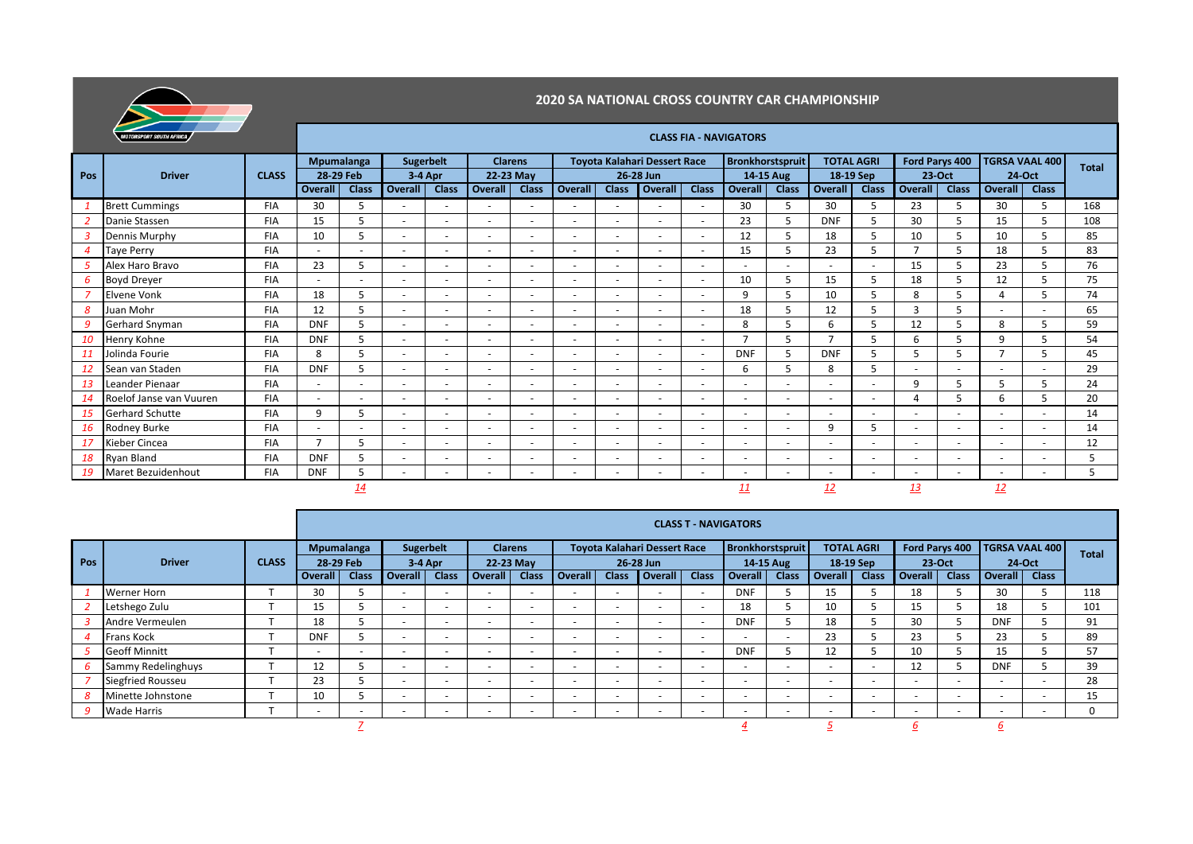

|     | ╼<br><b>MOTORSPORT SOUTH AFRICA</b> |              | <b>CLASS FIA - NAVIGATORS</b> |                          |                |                          |                          |                          |                          |                          |                                     |                          |                          |                          |                          |                          |                          |              |                          |              |              |
|-----|-------------------------------------|--------------|-------------------------------|--------------------------|----------------|--------------------------|--------------------------|--------------------------|--------------------------|--------------------------|-------------------------------------|--------------------------|--------------------------|--------------------------|--------------------------|--------------------------|--------------------------|--------------|--------------------------|--------------|--------------|
|     |                                     |              |                               | <b>Mpumalanga</b>        |                | <b>Sugerbelt</b>         |                          | <b>Clarens</b>           |                          |                          | <b>Toyota Kalahari Dessert Race</b> |                          | <b>Bronkhorstspruit</b>  |                          | <b>TOTAL AGRI</b>        |                          | Ford Parys 400           |              | <b>TGRSA VAAL 400</b>    |              | <b>Total</b> |
| Pos | <b>Driver</b>                       | <b>CLASS</b> | 28-29 Feb                     |                          |                | $3-4$ Apr                |                          | 22-23 May                |                          | 26-28 Jun                |                                     |                          | 14-15 Aug                |                          | 18-19 Sep                |                          | 23 Oct                   |              | 24 Oct                   |              |              |
|     |                                     |              | <b>Overall</b>                | <b>Class</b>             | <b>Overall</b> | <b>Class</b>             | Overall                  | <b>Class</b>             | <b>Overal</b>            | <b>Class</b>             | <b>Overall</b>                      | <b>Class</b>             | Overall                  | <b>Class</b>             | <b>Overall</b>           | <b>Class</b>             | <b>Overall</b>           | <b>Class</b> | Overall                  | <b>Class</b> |              |
|     | <b>Brett Cummings</b>               | <b>FIA</b>   | 30                            | 5                        |                |                          |                          |                          |                          |                          |                                     |                          | 30                       | 5                        | 30                       | 5                        | 23                       | 5            | 30                       | 5            | 168          |
|     | Danie Stassen                       | <b>FIA</b>   | 15                            | 5                        |                |                          |                          |                          |                          |                          |                                     |                          | 23                       | 5                        | <b>DNF</b>               | 5                        | 30                       | 5            | 15                       | 5            | 108          |
|     | Dennis Murphy                       | <b>FIA</b>   | 10                            | 5                        |                |                          |                          |                          | $\overline{\phantom{0}}$ | $\overline{\phantom{0}}$ | $\overline{a}$                      |                          | 12                       | 5                        | 18                       | 5                        | 10                       | 5            | 10                       |              | 85           |
|     | <b>Taye Perry</b>                   | <b>FIA</b>   | $\overline{\phantom{a}}$      | $\overline{\phantom{a}}$ |                | -                        |                          | $\overline{\phantom{0}}$ | $\overline{\phantom{a}}$ | $\overline{\phantom{a}}$ | $\overline{\phantom{0}}$            | $\overline{\phantom{0}}$ | 15                       | 5                        | 23                       | 5                        | $\mathbf{z}$             | 5            | 18                       |              | 83           |
|     | Alex Haro Bravo                     | <b>FIA</b>   | 23                            | 5                        |                | $\overline{\phantom{0}}$ | $\overline{\phantom{0}}$ | $\sim$                   | $\overline{\phantom{a}}$ | $\overline{\phantom{0}}$ | $\overline{\phantom{0}}$            | $\overline{a}$           | $\overline{\phantom{m}}$ | $\overline{\phantom{0}}$ | $\overline{\phantom{a}}$ | $\overline{\phantom{a}}$ | 15                       | 5            | 23                       |              | 76           |
|     | <b>Boyd Dreyer</b>                  | <b>FIA</b>   |                               | $\overline{\phantom{a}}$ |                |                          |                          |                          | $\overline{\phantom{0}}$ | $\overline{\phantom{0}}$ | $\overline{a}$                      | $\overline{\phantom{0}}$ | 10                       | 5                        | 15                       | 5                        | 18                       | 5            | 12                       | 5            | 75           |
|     | <b>Elvene Vonk</b>                  | <b>FIA</b>   | 18                            | 5                        |                | ٠                        |                          | $\sim$                   | $\sim$                   | $\overline{\phantom{a}}$ | $\overline{\phantom{a}}$            | $\overline{a}$           | 9                        | 5                        | 10                       | 5                        | 8                        | 5            |                          |              | 74           |
|     | Juan Mohr                           | <b>FIA</b>   | 12                            | 5                        |                | ٠                        |                          | $\sim$                   | $\overline{\phantom{a}}$ | $\overline{\phantom{a}}$ | $\overline{\phantom{a}}$            | $\overline{\phantom{a}}$ | 18                       | 5                        | 12                       | 5                        | 3                        | 5            |                          |              | 65           |
|     | Gerhard Snyman                      | <b>FIA</b>   | <b>DNF</b>                    | 5                        |                | $\overline{\phantom{0}}$ | $\overline{\phantom{0}}$ | $\sim$                   | $\overline{\phantom{a}}$ | $\overline{\phantom{0}}$ | $\overline{\phantom{0}}$            | $\overline{a}$           | 8                        | 5                        | 6                        |                          | 12                       | 5            | 8                        |              | 59           |
|     | Henry Kohne                         | <b>FIA</b>   | <b>DNF</b>                    | 5                        |                | ٠                        | $\overline{\phantom{a}}$ | $\sim$                   | $\overline{\phantom{a}}$ | $\overline{\phantom{a}}$ | $\overline{\phantom{a}}$            | $\overline{\phantom{a}}$ | $\overline{ }$           | 5                        | $\overline{ }$           |                          | 6                        | 5            | $\mathsf{q}$             |              | 54           |
|     | Jolinda Fourie                      | <b>FIA</b>   | 8                             | 5                        |                | $\overline{\phantom{a}}$ | $\overline{\phantom{a}}$ | $\sim$                   | $\overline{\phantom{a}}$ | $\overline{\phantom{a}}$ | $\overline{\phantom{a}}$            | $\sim$                   | <b>DNF</b>               | 5                        | <b>DNF</b>               | 5                        | 5                        | 5            |                          |              | 45           |
|     | Sean van Staden                     | <b>FIA</b>   | <b>DNF</b>                    | 5                        |                | ٠                        | $\overline{\phantom{a}}$ |                          | $\overline{\phantom{a}}$ | $\sim$                   | $\overline{\phantom{a}}$            | $\sim$                   | 6                        | 5                        | 8                        | 5                        | $\ddot{\phantom{1}}$     |              |                          |              | 29           |
|     | Leander Pienaar                     | <b>FIA</b>   | $\overline{\phantom{a}}$      | $\overline{\phantom{a}}$ |                | $\overline{\phantom{0}}$ | $\overline{\phantom{a}}$ |                          | $\overline{\phantom{a}}$ | $\overline{\phantom{a}}$ | $\overline{\phantom{0}}$            | $\overline{\phantom{a}}$ | $\overline{\phantom{a}}$ | $\overline{\phantom{a}}$ |                          | $\overline{\phantom{a}}$ | 9                        | 5            | 5                        | 5            | 24           |
|     | Roelof Janse van Vuuren             | <b>FIA</b>   | $\overline{\phantom{a}}$      | $\overline{\phantom{a}}$ |                | ٠                        | $\sim$                   |                          | $\overline{\phantom{a}}$ | $\overline{\phantom{a}}$ | $\overline{\phantom{a}}$            | $\overline{\phantom{a}}$ | $\overline{\phantom{a}}$ | $\overline{\phantom{a}}$ | $\overline{\phantom{a}}$ | $\overline{\phantom{a}}$ | $\Delta$                 | 5            | 6                        |              | 20           |
|     | <b>Gerhard Schutte</b>              | <b>FIA</b>   | 9                             | 5                        |                | $\overline{\phantom{a}}$ | $\overline{\phantom{a}}$ | $\overline{a}$           | $\overline{\phantom{a}}$ | $\overline{\phantom{a}}$ | $\overline{\phantom{a}}$            | $\overline{\phantom{a}}$ | $\overline{\phantom{a}}$ | $\overline{\phantom{a}}$ | $\overline{\phantom{a}}$ | $\overline{\phantom{a}}$ | $\overline{\phantom{a}}$ |              |                          | ٠            | 14           |
|     | Rodney Burke                        | <b>FIA</b>   | $\overline{\phantom{a}}$      |                          |                | $\overline{\phantom{0}}$ |                          |                          | $\overline{\phantom{a}}$ | $\overline{a}$           | $\overline{\phantom{a}}$            | $\overline{\phantom{a}}$ | $\overline{a}$           | $\sim$                   | 9                        | 5                        | $\overline{\phantom{a}}$ |              |                          |              | 14           |
| 17  | Kieber Cincea                       | <b>FIA</b>   | $\overline{\phantom{a}}$      | 5                        |                | $\overline{\phantom{a}}$ |                          |                          | $\overline{\phantom{a}}$ | $\overline{\phantom{a}}$ | $\overline{\phantom{a}}$            | $\overline{\phantom{a}}$ | $\overline{\phantom{a}}$ | $\overline{\phantom{a}}$ |                          | $\overline{\phantom{a}}$ | $\overline{\phantom{a}}$ |              | $\overline{\phantom{0}}$ | ٠            | 12           |
| 18  | Ryan Bland                          | <b>FIA</b>   | <b>DNF</b>                    | 5                        |                | $\overline{\phantom{a}}$ |                          |                          | $\overline{\phantom{0}}$ | $\overline{\phantom{0}}$ | $\overline{\phantom{0}}$            |                          | $\overline{\phantom{a}}$ | $\overline{\phantom{a}}$ |                          | $\overline{\phantom{a}}$ | $\overline{\phantom{a}}$ |              |                          |              | 5            |
|     | Maret Bezuidenhout                  | <b>FIA</b>   | <b>DNF</b>                    | 5                        |                |                          |                          |                          | ٠                        |                          |                                     |                          | $\overline{\phantom{a}}$ | $\overline{\phantom{a}}$ |                          | $\overline{\phantom{a}}$ | ٠                        |              |                          |              | 5            |
|     |                                     |              |                               | <u> 14</u>               |                |                          |                          |                          |                          |                          |                                     |                          | <u> 11</u>               |                          | 12                       |                          | 13                       |              | <u>12</u>                |              |              |

|            |                          |              |            |                          |                          |                          |                          |                          |                          |                          |                                     | <b>CLASS T - NAVIGATORS</b> |                          |                          |                          |                          |                          |                          |                          |              |              |
|------------|--------------------------|--------------|------------|--------------------------|--------------------------|--------------------------|--------------------------|--------------------------|--------------------------|--------------------------|-------------------------------------|-----------------------------|--------------------------|--------------------------|--------------------------|--------------------------|--------------------------|--------------------------|--------------------------|--------------|--------------|
|            | <b>Driver</b>            |              | Mpumalanga |                          | Sugerbelt                |                          | <b>Clarens</b>           |                          |                          |                          | <b>Toyota Kalahari Dessert Race</b> |                             | Bronkhorstspruit         |                          | <b>TOTAL AGRI</b>        |                          | Ford Parys 400           |                          | <b>TGRSA VAAL 400</b>    |              | <b>Total</b> |
| <b>Pos</b> |                          | <b>CLASS</b> | 28-29 Feb  |                          | $3-4$ Apr                |                          | 22-23 May                |                          | 26-28 Jun                |                          |                                     |                             | 14-15 Aug                |                          | 18-19 Sep                |                          | 23-Oct                   |                          | 24-Oct                   |              |              |
|            |                          |              | Overall    | <b>Class</b>             | <b>Overall</b>           | <b>Class</b>             | Overall                  | <b>Class</b>             | <b>Overall</b>           | <b>Class</b>             | Overall                             | <b>Class</b>                | Overall                  | <b>Class</b>             | <b>Overall</b>           | <b>Class</b>             | Overall                  | <b>Class</b>             | Overall                  | <b>Class</b> |              |
|            | <b>Werner Horn</b>       |              | 30         |                          | -                        |                          | $\sim$                   | $\overline{\phantom{a}}$ | $\overline{\phantom{0}}$ | $\overline{\phantom{0}}$ | $\overline{\phantom{0}}$            |                             | <b>DNF</b>               |                          | 15                       |                          | 18                       |                          | 30                       |              | 118          |
|            | Letshego Zulu            |              | 15         |                          | $\overline{\phantom{a}}$ | $\overline{\phantom{0}}$ | $\sim$                   | $\overline{\phantom{a}}$ | $\sim$                   | $\overline{\phantom{0}}$ | <b>.</b>                            | $\overline{\phantom{0}}$    | 18                       |                          | 10                       |                          | 15                       |                          | 18                       |              | 101          |
|            | Andre Vermeulen          |              | 18         |                          | -                        |                          | $\overline{\phantom{0}}$ | $\sim$                   | $\overline{\phantom{0}}$ | $\overline{\phantom{0}}$ | $\overline{\phantom{a}}$            |                             | <b>DNF</b>               |                          | 18                       |                          | 30                       |                          | <b>DNF</b>               |              | 91           |
|            | Frans Kock               |              | <b>DNF</b> |                          | -                        |                          | $\overline{\phantom{0}}$ | $\sim$                   | $\overline{\phantom{a}}$ | $\sim$                   | $\overline{\phantom{0}}$            | $\overline{\phantom{0}}$    | $\sim$                   | $\overline{\phantom{a}}$ | 23                       |                          | 23                       |                          | 23                       |              | 89           |
|            | <b>Geoff Minnitt</b>     |              |            | $\overline{\phantom{0}}$ | -                        |                          | $\sim$                   | $\sim$                   | $\sim$                   | $\sim$                   | $\sim$                              |                             | <b>DNF</b>               |                          | 12                       |                          | 10                       |                          | 15                       |              | 57           |
|            | Sammy Redelinghuys       |              | 12         |                          | -                        |                          | $\overline{\phantom{0}}$ | $\overline{\phantom{a}}$ | -                        | $\overline{a}$           | $\overline{\phantom{0}}$            | $\overline{\phantom{0}}$    | $\sim$                   | $\overline{\phantom{a}}$ | $\overline{\phantom{a}}$ | $\overline{a}$           | 12                       |                          | <b>DNF</b>               |              | 39           |
|            | <b>Siegfried Rousseu</b> |              | 23         |                          |                          |                          | $\overline{\phantom{0}}$ | $\sim$                   | $\sim$                   | $\sim$                   | $\overline{\phantom{a}}$            | $\overline{\phantom{0}}$    | $\sim$                   |                          | $\overline{\phantom{a}}$ | $\overline{a}$           | $\sim$                   | $\overline{\phantom{0}}$ | $\sim$                   |              | 28           |
|            | Minette Johnstone        |              | 10         |                          | -                        |                          | $\overline{\phantom{0}}$ | $\overline{\phantom{a}}$ | -                        | $\overline{a}$           | $\overline{\phantom{a}}$            | $\overline{\phantom{0}}$    | $\overline{\phantom{a}}$ |                          | $\overline{\phantom{a}}$ | $\overline{\phantom{a}}$ | $\overline{\phantom{a}}$ | $\overline{\phantom{0}}$ | $\sim$                   |              | 15           |
|            | <b>Wade Harris</b>       |              |            | $\overline{\phantom{0}}$ |                          |                          | $\overline{\phantom{0}}$ | $\overline{\phantom{a}}$ |                          | $\overline{\phantom{0}}$ | $\overline{\phantom{0}}$            |                             | $\sim$                   |                          | $\overline{\phantom{a}}$ | $\overline{\phantom{a}}$ | $\overline{\phantom{0}}$ | $\overline{\phantom{0}}$ | $\overline{\phantom{a}}$ |              | $\Omega$     |
|            |                          |              |            |                          |                          |                          |                          |                          |                          |                          |                                     |                             |                          |                          |                          |                          |                          |                          |                          |              |              |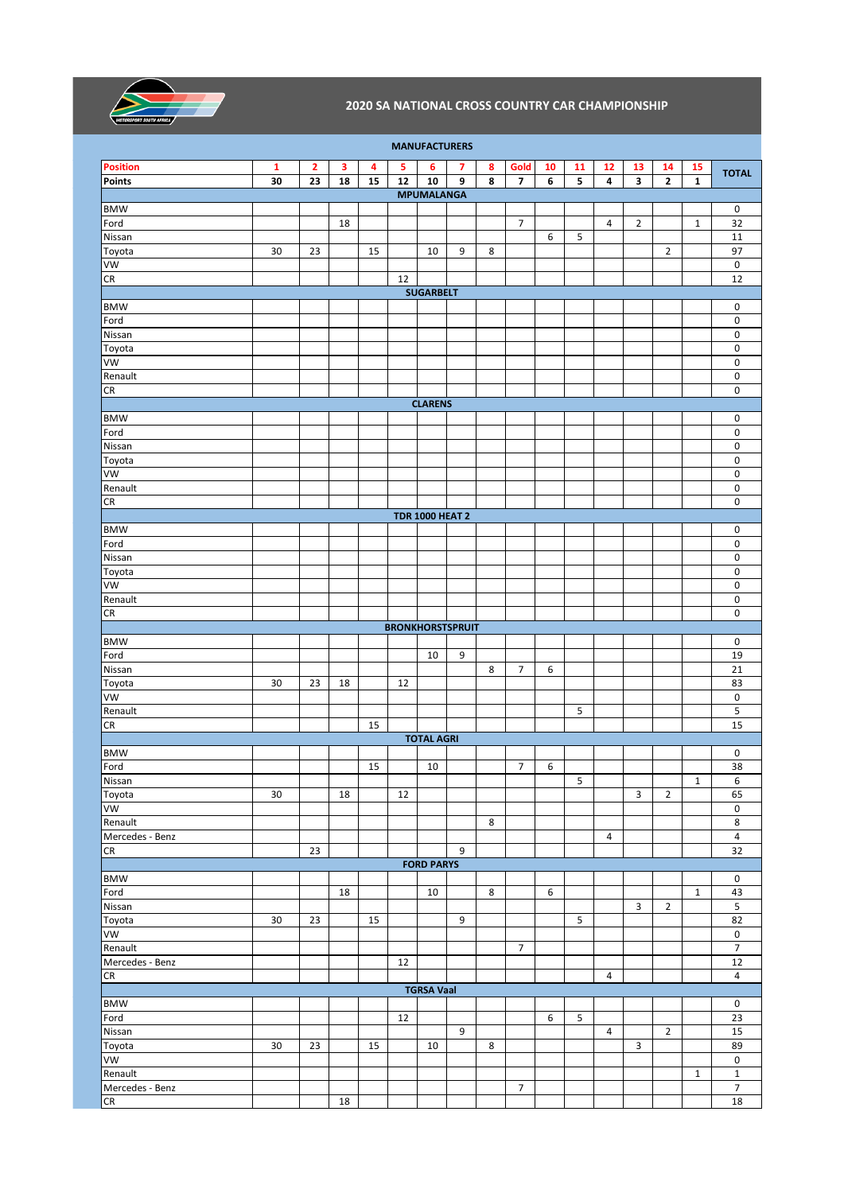

| <b>MANUFACTURERS</b>  |    |    |    |    |    |                        |                         |   |                         |                |    |                |                         |                |              |                                  |
|-----------------------|----|----|----|----|----|------------------------|-------------------------|---|-------------------------|----------------|----|----------------|-------------------------|----------------|--------------|----------------------------------|
| <b>Position</b>       | 1  | 2  | 3  | 4  | 5  | 6                      | 7                       | 8 | Gold                    | 10             | 11 | 12             | 13                      | 14             | 15           | <b>TOTAL</b>                     |
| <b>Points</b>         | 30 | 23 | 18 | 15 | 12 | 10                     | 9                       | 8 | $\overline{\mathbf{z}}$ | 6              | 5  | 4              | $\overline{\mathbf{3}}$ | $\mathbf{2}$   | $\mathbf{1}$ |                                  |
|                       |    |    |    |    |    | <b>MPUMALANGA</b>      |                         |   |                         |                |    |                |                         |                |              |                                  |
| <b>BMW</b>            |    |    |    |    |    |                        |                         |   |                         |                |    |                |                         |                |              | $\pmb{0}$                        |
| Ford<br>Nissan        |    |    | 18 |    |    |                        |                         |   | $\overline{7}$          |                |    | $\overline{4}$ | $\overline{2}$          |                | $\mathbf{1}$ | $\overline{32}$<br>11            |
| Toyota                | 30 | 23 |    | 15 |    | 10                     | 9                       | 8 |                         | 6              | 5  |                |                         | $\overline{2}$ |              | 97                               |
| VW                    |    |    |    |    |    |                        |                         |   |                         |                |    |                |                         |                |              | 0                                |
| CR                    |    |    |    |    | 12 |                        |                         |   |                         |                |    |                |                         |                |              | 12                               |
|                       |    |    |    |    |    | <b>SUGARBELT</b>       |                         |   |                         |                |    |                |                         |                |              |                                  |
| <b>BMW</b>            |    |    |    |    |    |                        |                         |   |                         |                |    |                |                         |                |              | 0                                |
| Ford                  |    |    |    |    |    |                        |                         |   |                         |                |    |                |                         |                |              | 0                                |
| Nissan                |    |    |    |    |    |                        |                         |   |                         |                |    |                |                         |                |              | 0                                |
| Toyota                |    |    |    |    |    |                        |                         |   |                         |                |    |                |                         |                |              | 0                                |
| <b>VW</b>             |    |    |    |    |    |                        |                         |   |                         |                |    |                |                         |                |              | 0                                |
| Renault<br>CR         |    |    |    |    |    |                        |                         |   |                         |                |    |                |                         |                |              | $\pmb{0}$<br>0                   |
|                       |    |    |    |    |    | <b>CLARENS</b>         |                         |   |                         |                |    |                |                         |                |              |                                  |
| <b>BMW</b>            |    |    |    |    |    |                        |                         |   |                         |                |    |                |                         |                |              | 0                                |
| Ford                  |    |    |    |    |    |                        |                         |   |                         |                |    |                |                         |                |              | 0                                |
| Nissan                |    |    |    |    |    |                        |                         |   |                         |                |    |                |                         |                |              | 0                                |
| Toyota                |    |    |    |    |    |                        |                         |   |                         |                |    |                |                         |                |              | 0                                |
| VW                    |    |    |    |    |    |                        |                         |   |                         |                |    |                |                         |                |              | 0                                |
| Renault               |    |    |    |    |    |                        |                         |   |                         |                |    |                |                         |                |              | $\pmb{0}$                        |
| CR                    |    |    |    |    |    |                        |                         |   |                         |                |    |                |                         |                |              | 0                                |
|                       |    |    |    |    |    | <b>TDR 1000 HEAT 2</b> |                         |   |                         |                |    |                |                         |                |              |                                  |
| <b>BMW</b>            |    |    |    |    |    |                        |                         |   |                         |                |    |                |                         |                |              | 0                                |
| Ford<br>Nissan        |    |    |    |    |    |                        |                         |   |                         |                |    |                |                         |                |              | 0<br>0                           |
| Toyota                |    |    |    |    |    |                        |                         |   |                         |                |    |                |                         |                |              | 0                                |
| VW                    |    |    |    |    |    |                        |                         |   |                         |                |    |                |                         |                |              | 0                                |
| Renault               |    |    |    |    |    |                        |                         |   |                         |                |    |                |                         |                |              | 0                                |
| CR                    |    |    |    |    |    |                        |                         |   |                         |                |    |                |                         |                |              | 0                                |
|                       |    |    |    |    |    |                        | <b>BRONKHORSTSPRUIT</b> |   |                         |                |    |                |                         |                |              |                                  |
| <b>BMW</b>            |    |    |    |    |    |                        |                         |   |                         |                |    |                |                         |                |              | 0                                |
| Ford                  |    |    |    |    |    | 10                     | 9                       |   |                         |                |    |                |                         |                |              | 19                               |
| Nissan                |    |    |    |    |    |                        |                         | 8 | $\overline{7}$          | 6              |    |                |                         |                |              | 21                               |
| Toyota<br>VW          | 30 | 23 | 18 |    | 12 |                        |                         |   |                         |                |    |                |                         |                |              | 83<br>0                          |
| Renault               |    |    |    |    |    |                        |                         |   |                         |                | 5  |                |                         |                |              | 5                                |
| CR                    |    |    |    | 15 |    |                        |                         |   |                         |                |    |                |                         |                |              | 15                               |
|                       |    |    |    |    |    | <b>TOTAL AGRI</b>      |                         |   |                         |                |    |                |                         |                |              |                                  |
| <b>BMW</b>            |    |    |    |    |    |                        |                         |   |                         |                |    |                |                         |                |              | 0                                |
| Ford                  |    |    |    | 15 |    | $10\,$                 |                         |   | 7 <sup>7</sup>          | $\overline{6}$ |    |                |                         |                |              | 38                               |
| Nissan                |    |    |    |    |    |                        |                         |   |                         |                | 5  |                |                         |                | $\mathbf 1$  | 6                                |
| Toyota                | 30 |    | 18 |    | 12 |                        |                         |   |                         |                |    |                | $\overline{\mathbf{3}}$ | $\overline{2}$ |              | 65                               |
| VW                    |    |    |    |    |    |                        |                         |   |                         |                |    |                |                         |                |              | $\mathsf{O}\xspace$              |
| Renault               |    |    |    |    |    |                        |                         | 8 |                         |                |    |                |                         |                |              | $\overline{8}$<br>$\overline{4}$ |
| Mercedes - Benz<br>CR |    | 23 |    |    |    |                        | 9                       |   |                         |                |    | 4              |                         |                |              | $\overline{32}$                  |
|                       |    |    |    |    |    | <b>FORD PARYS</b>      |                         |   |                         |                |    |                |                         |                |              |                                  |
| <b>BMW</b>            |    |    |    |    |    |                        |                         |   |                         |                |    |                |                         |                |              | $\mathsf 0$                      |
| Ford                  |    |    | 18 |    |    | 10                     |                         | 8 |                         | 6              |    |                |                         |                | $\mathbf{1}$ | 43                               |
| Nissan                |    |    |    |    |    |                        |                         |   |                         |                |    |                | 3                       | $\overline{2}$ |              | 5                                |
| Toyota                | 30 | 23 |    | 15 |    |                        | 9                       |   |                         |                | 5  |                |                         |                |              | 82                               |
| VW                    |    |    |    |    |    |                        |                         |   |                         |                |    |                |                         |                |              | $\mathsf{O}\xspace$              |
| Renault               |    |    |    |    |    |                        |                         |   | $\overline{7}$          |                |    |                |                         |                |              | $\overline{7}$                   |
| Mercedes - Benz       |    |    |    |    | 12 |                        |                         |   |                         |                |    |                |                         |                |              | $12\,$                           |
| ${\sf CR}$            |    |    |    |    |    | <b>TGRSA Vaal</b>      |                         |   |                         |                |    | 4              |                         |                |              | $\overline{4}$                   |
| <b>BMW</b>            |    |    |    |    |    |                        |                         |   |                         |                |    |                |                         |                |              | $\mathsf 0$                      |
| Ford                  |    |    |    |    | 12 |                        |                         |   |                         | 6              | 5  |                |                         |                |              | 23                               |
| Nissan                |    |    |    |    |    |                        | 9                       |   |                         |                |    | 4              |                         | $\overline{2}$ |              | 15                               |
| Toyota                | 30 | 23 |    | 15 |    | 10                     |                         | 8 |                         |                |    |                | 3                       |                |              | 89                               |
| VW                    |    |    |    |    |    |                        |                         |   |                         |                |    |                |                         |                |              | $\mathsf{O}\xspace$              |
| Renault               |    |    |    |    |    |                        |                         |   |                         |                |    |                |                         |                | $\mathbf{1}$ | $\overline{\mathbf{1}}$          |
| Mercedes - Benz       |    |    |    |    |    |                        |                         |   | $\overline{7}$          |                |    |                |                         |                |              | $\overline{7}$                   |
| CR                    |    |    | 18 |    |    |                        |                         |   |                         |                |    |                |                         |                |              | $18\,$                           |